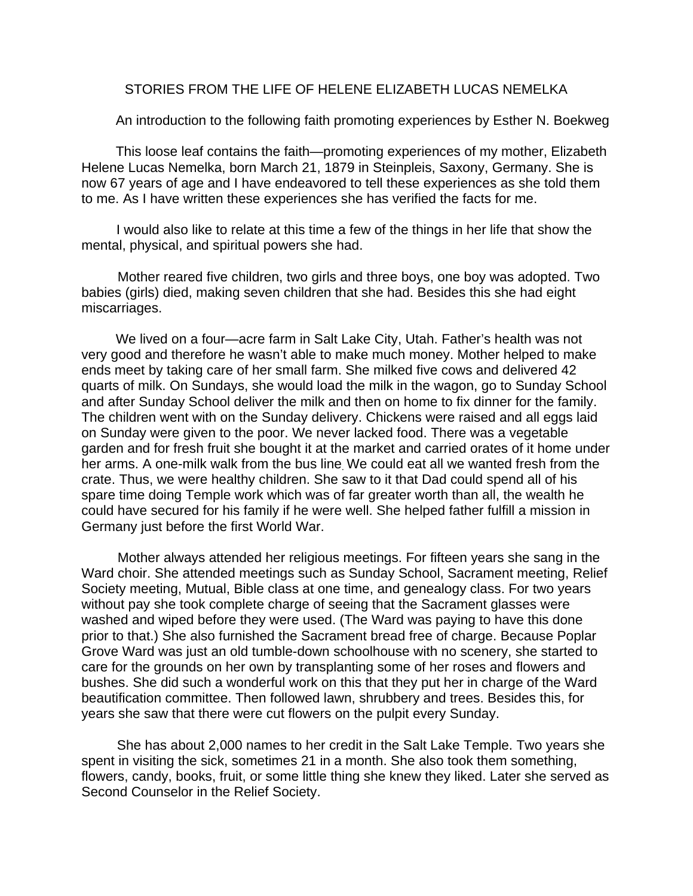# STORIES FROM THE LIFE OF HELENE ELIZABETH LUCAS NEMELKA

An introduction to the following faith promoting experiences by Esther N. Boekweg

This loose leaf contains the faith—promoting experiences of my mother, Elizabeth Helene Lucas Nemelka, born March 21, 1879 in Steinpleis, Saxony, Germany. She is now 67 years of age and I have endeavored to tell these experiences as she told them to me. As I have written these experiences she has verified the facts for me.

I would also like to relate at this time a few of the things in her life that show the mental, physical, and spiritual powers she had.

Mother reared five children, two girls and three boys, one boy was adopted. Two babies (girls) died, making seven children that she had. Besides this she had eight miscarriages.

We lived on a four—acre farm in Salt Lake City, Utah. Father's health was not very good and therefore he wasn't able to make much money. Mother helped to make ends meet by taking care of her small farm. She milked five cows and delivered 42 quarts of milk. On Sundays, she would load the milk in the wagon, go to Sunday School and after Sunday School deliver the milk and then on home to fix dinner for the family. The children went with on the Sunday delivery. Chickens were raised and all eggs laid on Sunday were given to the poor. We never lacked food. There was a vegetable garden and for fresh fruit she bought it at the market and carried orates of it home under her arms. A one-milk walk from the bus line. We could eat all we wanted fresh from the crate. Thus, we were healthy children. She saw to it that Dad could spend all of his spare time doing Temple work which was of far greater worth than all, the wealth he could have secured for his family if he were well. She helped father fulfill a mission in Germany just before the first World War.

Mother always attended her religious meetings. For fifteen years she sang in the Ward choir. She attended meetings such as Sunday School, Sacrament meeting, Relief Society meeting, Mutual, Bible class at one time, and genealogy class. For two years without pay she took complete charge of seeing that the Sacrament glasses were washed and wiped before they were used. (The Ward was paying to have this done prior to that.) She also furnished the Sacrament bread free of charge. Because Poplar Grove Ward was just an old tumble-down schoolhouse with no scenery, she started to care for the grounds on her own by transplanting some of her roses and flowers and bushes. She did such a wonderful work on this that they put her in charge of the Ward beautification committee. Then followed lawn, shrubbery and trees. Besides this, for years she saw that there were cut flowers on the pulpit every Sunday.

She has about 2,000 names to her credit in the Salt Lake Temple. Two years she spent in visiting the sick, sometimes 21 in a month. She also took them something, flowers, candy, books, fruit, or some little thing she knew they liked. Later she served as Second Counselor in the Relief Society.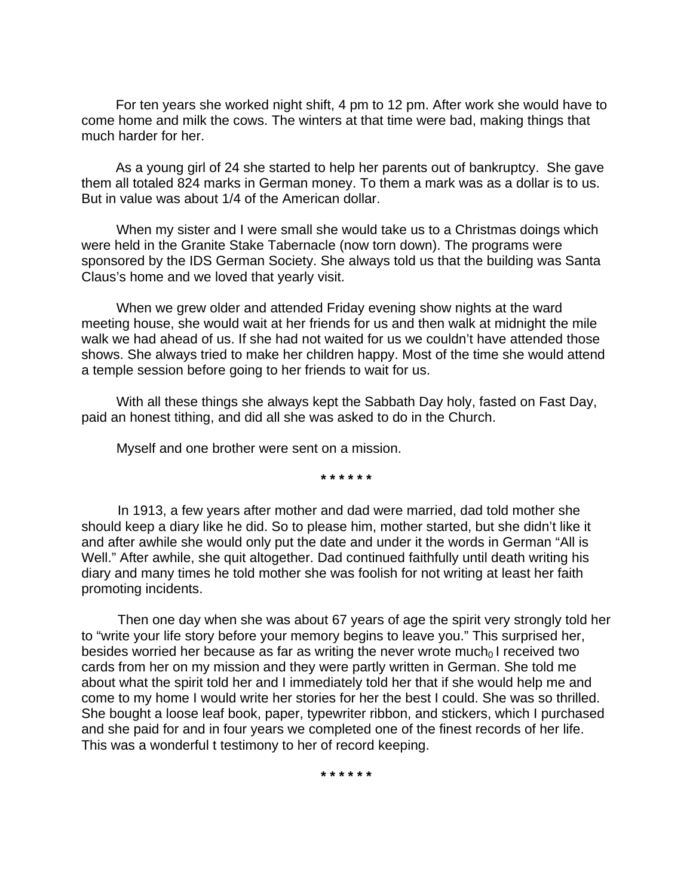For ten years she worked night shift, 4 pm to 12 pm. After work she would have to come home and milk the cows. The winters at that time were bad, making things that much harder for her.

As a young girl of 24 she started to help her parents out of bankruptcy. She gave them all totaled 824 marks in German money. To them a mark was as a dollar is to us. But in value was about 1/4 of the American dollar.

When my sister and I were small she would take us to a Christmas doings which were held in the Granite Stake Tabernacle (now torn down). The programs were sponsored by the IDS German Society. She always told us that the building was Santa Claus's home and we loved that yearly visit.

When we grew older and attended Friday evening show nights at the ward meeting house, she would wait at her friends for us and then walk at midnight the mile walk we had ahead of us. If she had not waited for us we couldn't have attended those shows. She always tried to make her children happy. Most of the time she would attend a temple session before going to her friends to wait for us.

With all these things she always kept the Sabbath Day holy, fasted on Fast Day, paid an honest tithing, and did all she was asked to do in the Church.

Myself and one brother were sent on a mission.

**\* \* \* \* \* \*** 

In 1913, a few years after mother and dad were married, dad told mother she should keep a diary like he did. So to please him, mother started, but she didn't like it and after awhile she would only put the date and under it the words in German "All is Well." After awhile, she quit altogether. Dad continued faithfully until death writing his diary and many times he told mother she was foolish for not writing at least her faith promoting incidents.

Then one day when she was about 67 years of age the spirit very strongly told her to "write your life story before your memory begins to leave you." This surprised her, besides worried her because as far as writing the never wrote much $<sub>0</sub>$  I received two</sub> cards from her on my mission and they were partly written in German. She told me about what the spirit told her and I immediately told her that if she would help me and come to my home I would write her stories for her the best I could. She was so thrilled. She bought a loose leaf book, paper, typewriter ribbon, and stickers, which I purchased and she paid for and in four years we completed one of the finest records of her life. This was a wonderful t testimony to her of record keeping.

**\* \* \* \* \* \***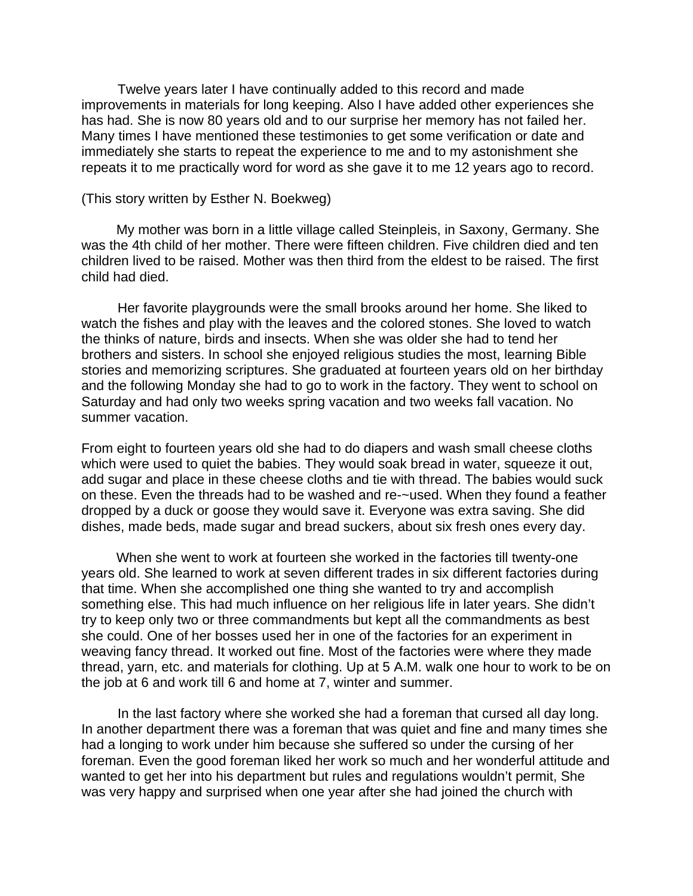Twelve years later I have continually added to this record and made improvements in materials for long keeping. Also I have added other experiences she has had. She is now 80 years old and to our surprise her memory has not failed her. Many times I have mentioned these testimonies to get some verification or date and immediately she starts to repeat the experience to me and to my astonishment she repeats it to me practically word for word as she gave it to me 12 years ago to record.

## (This story written by Esther N. Boekweg)

My mother was born in a little village called Steinpleis, in Saxony, Germany. She was the 4th child of her mother. There were fifteen children. Five children died and ten children lived to be raised. Mother was then third from the eldest to be raised. The first child had died.

Her favorite playgrounds were the small brooks around her home. She liked to watch the fishes and play with the leaves and the colored stones. She loved to watch the thinks of nature, birds and insects. When she was older she had to tend her brothers and sisters. In school she enjoyed religious studies the most, learning Bible stories and memorizing scriptures. She graduated at fourteen years old on her birthday and the following Monday she had to go to work in the factory. They went to school on Saturday and had only two weeks spring vacation and two weeks fall vacation. No summer vacation.

From eight to fourteen years old she had to do diapers and wash small cheese cloths which were used to quiet the babies. They would soak bread in water, squeeze it out, add sugar and place in these cheese cloths and tie with thread. The babies would suck on these. Even the threads had to be washed and re-~used. When they found a feather dropped by a duck or goose they would save it. Everyone was extra saving. She did dishes, made beds, made sugar and bread suckers, about six fresh ones every day.

When she went to work at fourteen she worked in the factories till twenty-one years old. She learned to work at seven different trades in six different factories during that time. When she accomplished one thing she wanted to try and accomplish something else. This had much influence on her religious life in later years. She didn't try to keep only two or three commandments but kept all the commandments as best she could. One of her bosses used her in one of the factories for an experiment in weaving fancy thread. It worked out fine. Most of the factories were where they made thread, yarn, etc. and materials for clothing. Up at 5 A.M. walk one hour to work to be on the job at 6 and work till 6 and home at 7, winter and summer.

In the last factory where she worked she had a foreman that cursed all day long. In another department there was a foreman that was quiet and fine and many times she had a longing to work under him because she suffered so under the cursing of her foreman. Even the good foreman liked her work so much and her wonderful attitude and wanted to get her into his department but rules and regulations wouldn't permit, She was very happy and surprised when one year after she had joined the church with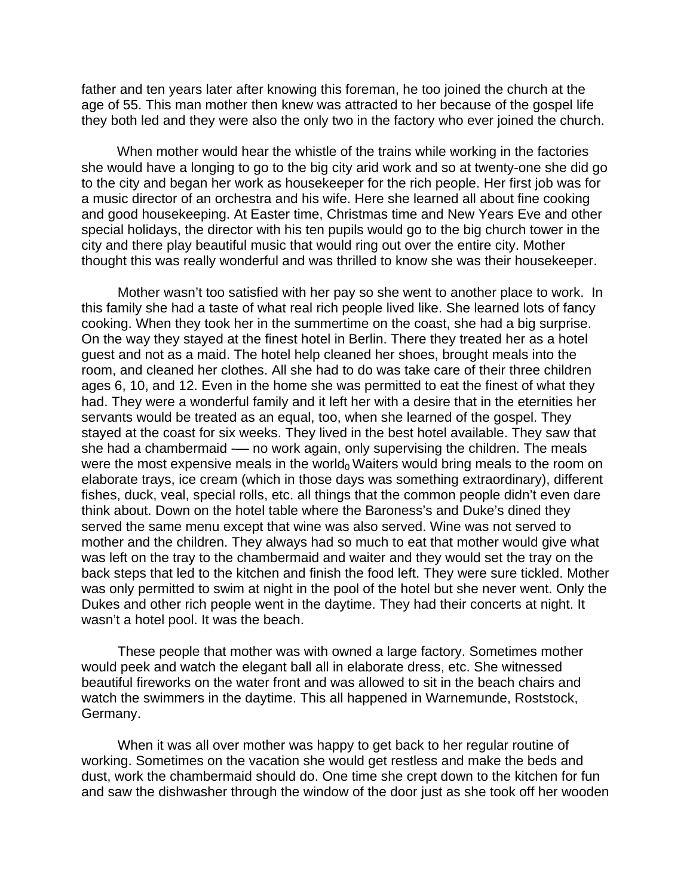father and ten years later after knowing this foreman, he too joined the church at the age of 55. This man mother then knew was attracted to her because of the gospel life they both led and they were also the only two in the factory who ever joined the church.

When mother would hear the whistle of the trains while working in the factories she would have a longing to go to the big city arid work and so at twenty-one she did go to the city and began her work as housekeeper for the rich people. Her first job was for a music director of an orchestra and his wife. Here she learned all about fine cooking and good housekeeping. At Easter time, Christmas time and New Years Eve and other special holidays, the director with his ten pupils would go to the big church tower in the city and there play beautiful music that would ring out over the entire city. Mother thought this was really wonderful and was thrilled to know she was their housekeeper.

Mother wasn't too satisfied with her pay so she went to another place to work. In this family she had a taste of what real rich people lived like. She learned lots of fancy cooking. When they took her in the summertime on the coast, she had a big surprise. On the way they stayed at the finest hotel in Berlin. There they treated her as a hotel guest and not as a maid. The hotel help cleaned her shoes, brought meals into the room, and cleaned her clothes. All she had to do was take care of their three children ages 6, 10, and 12. Even in the home she was permitted to eat the finest of what they had. They were a wonderful family and it left her with a desire that in the eternities her servants would be treated as an equal, too, when she learned of the gospel. They stayed at the coast for six weeks. They lived in the best hotel available. They saw that she had a chambermaid -— no work again, only supervising the children. The meals were the most expensive meals in the world<sub>0</sub> Waiters would bring meals to the room on elaborate trays, ice cream (which in those days was something extraordinary), different fishes, duck, veal, special rolls, etc. all things that the common people didn't even dare think about. Down on the hotel table where the Baroness's and Duke's dined they served the same menu except that wine was also served. Wine was not served to mother and the children. They always had so much to eat that mother would give what was left on the tray to the chambermaid and waiter and they would set the tray on the back steps that led to the kitchen and finish the food left. They were sure tickled. Mother was only permitted to swim at night in the pool of the hotel but she never went. Only the Dukes and other rich people went in the daytime. They had their concerts at night. It wasn't a hotel pool. It was the beach.

These people that mother was with owned a large factory. Sometimes mother would peek and watch the elegant ball all in elaborate dress, etc. She witnessed beautiful fireworks on the water front and was allowed to sit in the beach chairs and watch the swimmers in the daytime. This all happened in Warnemunde, Roststock, Germany.

When it was all over mother was happy to get back to her regular routine of working. Sometimes on the vacation she would get restless and make the beds and dust, work the chambermaid should do. One time she crept down to the kitchen for fun and saw the dishwasher through the window of the door just as she took off her wooden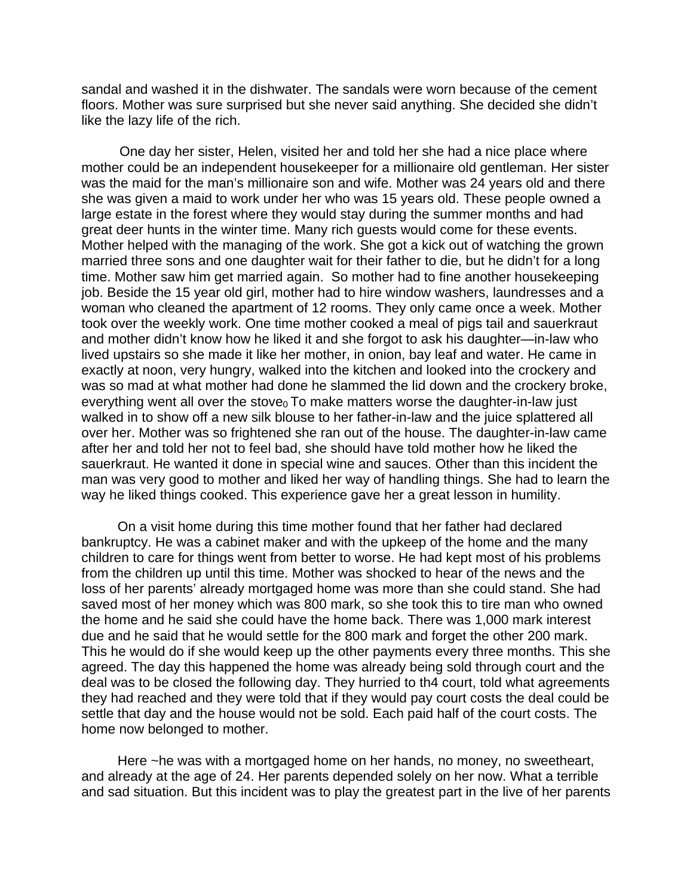sandal and washed it in the dishwater. The sandals were worn because of the cement floors. Mother was sure surprised but she never said anything. She decided she didn't like the lazy life of the rich.

 One day her sister, Helen, visited her and told her she had a nice place where mother could be an independent housekeeper for a millionaire old gentleman. Her sister was the maid for the man's millionaire son and wife. Mother was 24 years old and there she was given a maid to work under her who was 15 years old. These people owned a large estate in the forest where they would stay during the summer months and had great deer hunts in the winter time. Many rich guests would come for these events. Mother helped with the managing of the work. She got a kick out of watching the grown married three sons and one daughter wait for their father to die, but he didn't for a long time. Mother saw him get married again. So mother had to fine another housekeeping job. Beside the 15 year old girl, mother had to hire window washers, laundresses and a woman who cleaned the apartment of 12 rooms. They only came once a week. Mother took over the weekly work. One time mother cooked a meal of pigs tail and sauerkraut and mother didn't know how he liked it and she forgot to ask his daughter—in-law who lived upstairs so she made it like her mother, in onion, bay leaf and water. He came in exactly at noon, very hungry, walked into the kitchen and looked into the crockery and was so mad at what mother had done he slammed the lid down and the crockery broke, everything went all over the stove $<sub>0</sub>$  To make matters worse the daughter-in-law just</sub> walked in to show off a new silk blouse to her father-in-law and the juice splattered all over her. Mother was so frightened she ran out of the house. The daughter-in-law came after her and told her not to feel bad, she should have told mother how he liked the sauerkraut. He wanted it done in special wine and sauces. Other than this incident the man was very good to mother and liked her way of handling things. She had to learn the way he liked things cooked. This experience gave her a great lesson in humility.

On a visit home during this time mother found that her father had declared bankruptcy. He was a cabinet maker and with the upkeep of the home and the many children to care for things went from better to worse. He had kept most of his problems from the children up until this time. Mother was shocked to hear of the news and the loss of her parents' already mortgaged home was more than she could stand. She had saved most of her money which was 800 mark, so she took this to tire man who owned the home and he said she could have the home back. There was 1,000 mark interest due and he said that he would settle for the 800 mark and forget the other 200 mark. This he would do if she would keep up the other payments every three months. This she agreed. The day this happened the home was already being sold through court and the deal was to be closed the following day. They hurried to th4 court, told what agreements they had reached and they were told that if they would pay court costs the deal could be settle that day and the house would not be sold. Each paid half of the court costs. The home now belonged to mother.

Here ~he was with a mortgaged home on her hands, no money, no sweetheart, and already at the age of 24. Her parents depended solely on her now. What a terrible and sad situation. But this incident was to play the greatest part in the live of her parents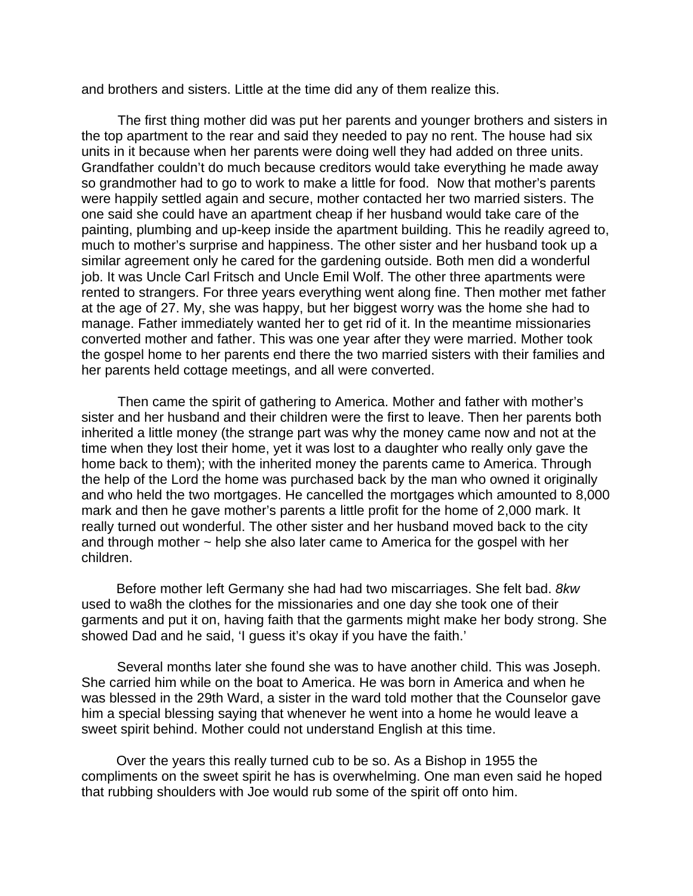and brothers and sisters. Little at the time did any of them realize this.

The first thing mother did was put her parents and younger brothers and sisters in the top apartment to the rear and said they needed to pay no rent. The house had six units in it because when her parents were doing well they had added on three units. Grandfather couldn't do much because creditors would take everything he made away so grandmother had to go to work to make a little for food. Now that mother's parents were happily settled again and secure, mother contacted her two married sisters. The one said she could have an apartment cheap if her husband would take care of the painting, plumbing and up-keep inside the apartment building. This he readily agreed to, much to mother's surprise and happiness. The other sister and her husband took up a similar agreement only he cared for the gardening outside. Both men did a wonderful job. It was Uncle Carl Fritsch and Uncle Emil Wolf. The other three apartments were rented to strangers. For three years everything went along fine. Then mother met father at the age of 27. My, she was happy, but her biggest worry was the home she had to manage. Father immediately wanted her to get rid of it. In the meantime missionaries converted mother and father. This was one year after they were married. Mother took the gospel home to her parents end there the two married sisters with their families and her parents held cottage meetings, and all were converted.

Then came the spirit of gathering to America. Mother and father with mother's sister and her husband and their children were the first to leave. Then her parents both inherited a little money (the strange part was why the money came now and not at the time when they lost their home, yet it was lost to a daughter who really only gave the home back to them); with the inherited money the parents came to America. Through the help of the Lord the home was purchased back by the man who owned it originally and who held the two mortgages. He cancelled the mortgages which amounted to 8,000 mark and then he gave mother's parents a little profit for the home of 2,000 mark. It really turned out wonderful. The other sister and her husband moved back to the city and through mother  $\sim$  help she also later came to America for the gospel with her children.

Before mother left Germany she had had two miscarriages. She felt bad. *8kw*  used to wa8h the clothes for the missionaries and one day she took one of their garments and put it on, having faith that the garments might make her body strong. She showed Dad and he said, 'I guess it's okay if you have the faith.'

Several months later she found she was to have another child. This was Joseph. She carried him while on the boat to America. He was born in America and when he was blessed in the 29th Ward, a sister in the ward told mother that the Counselor gave him a special blessing saying that whenever he went into a home he would leave a sweet spirit behind. Mother could not understand English at this time.

Over the years this really turned cub to be so. As a Bishop in 1955 the compliments on the sweet spirit he has is overwhelming. One man even said he hoped that rubbing shoulders with Joe would rub some of the spirit off onto him.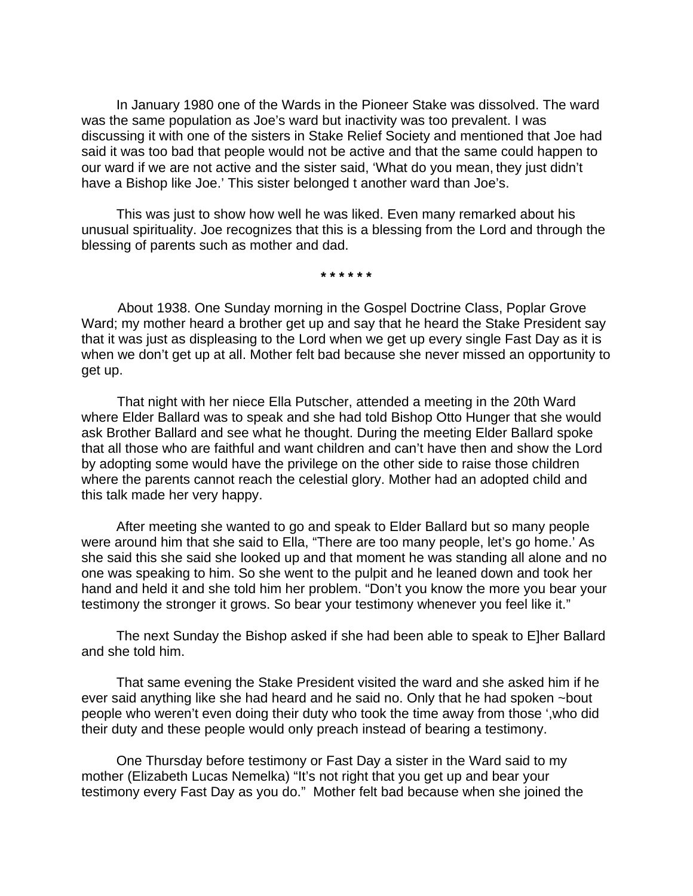In January 1980 one of the Wards in the Pioneer Stake was dissolved. The ward was the same population as Joe's ward but inactivity was too prevalent. I was discussing it with one of the sisters in Stake Relief Society and mentioned that Joe had said it was too bad that people would not be active and that the same could happen to our ward if we are not active and the sister said, 'What do you mean, they just didn't have a Bishop like Joe.' This sister belonged t another ward than Joe's.

This was just to show how well he was liked. Even many remarked about his unusual spirituality. Joe recognizes that this is a blessing from the Lord and through the blessing of parents such as mother and dad.

**\* \* \* \* \* \*** 

About 1938. One Sunday morning in the Gospel Doctrine Class, Poplar Grove Ward; my mother heard a brother get up and say that he heard the Stake President say that it was just as displeasing to the Lord when we get up every single Fast Day as it is when we don't get up at all. Mother felt bad because she never missed an opportunity to get up.

That night with her niece Ella Putscher, attended a meeting in the 20th Ward where Elder Ballard was to speak and she had told Bishop Otto Hunger that she would ask Brother Ballard and see what he thought. During the meeting Elder Ballard spoke that all those who are faithful and want children and can't have then and show the Lord by adopting some would have the privilege on the other side to raise those children where the parents cannot reach the celestial glory. Mother had an adopted child and this talk made her very happy.

After meeting she wanted to go and speak to Elder Ballard but so many people were around him that she said to Ella, "There are too many people, let's go home.' As she said this she said she looked up and that moment he was standing all alone and no one was speaking to him. So she went to the pulpit and he leaned down and took her hand and held it and she told him her problem. "Don't you know the more you bear your testimony the stronger it grows. So bear your testimony whenever you feel like it."

The next Sunday the Bishop asked if she had been able to speak to E]her Ballard and she told him.

That same evening the Stake President visited the ward and she asked him if he ever said anything like she had heard and he said no. Only that he had spoken ~bout people who weren't even doing their duty who took the time away from those ',who did their duty and these people would only preach instead of bearing a testimony.

One Thursday before testimony or Fast Day a sister in the Ward said to my mother (Elizabeth Lucas Nemelka) "It's not right that you get up and bear your testimony every Fast Day as you do." Mother felt bad because when she joined the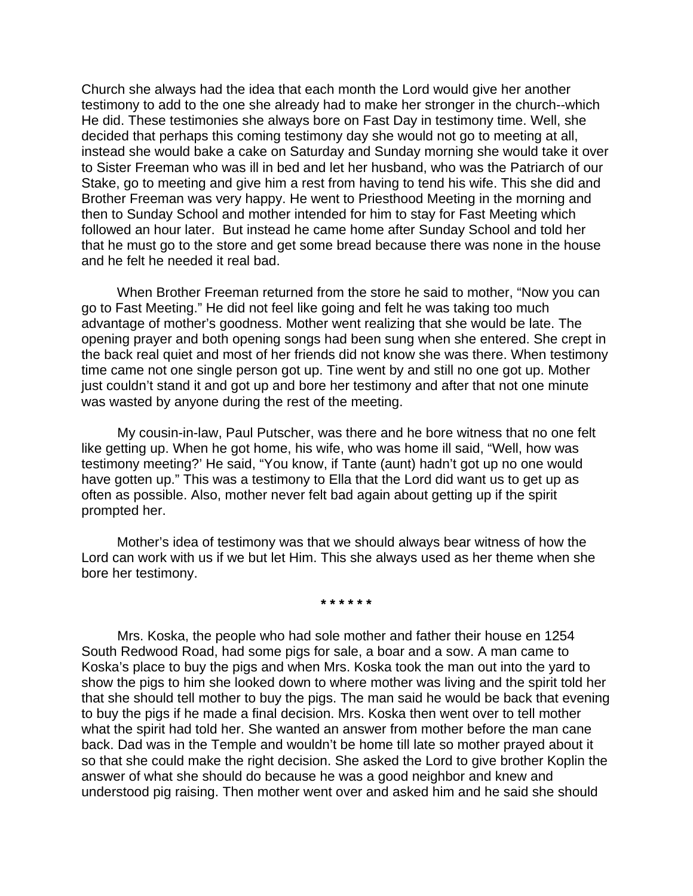Church she always had the idea that each month the Lord would give her another testimony to add to the one she already had to make her stronger in the church--which He did. These testimonies she always bore on Fast Day in testimony time. Well, she decided that perhaps this coming testimony day she would not go to meeting at all, instead she would bake a cake on Saturday and Sunday morning she would take it over to Sister Freeman who was ill in bed and let her husband, who was the Patriarch of our Stake, go to meeting and give him a rest from having to tend his wife. This she did and Brother Freeman was very happy. He went to Priesthood Meeting in the morning and then to Sunday School and mother intended for him to stay for Fast Meeting which followed an hour later. But instead he came home after Sunday School and told her that he must go to the store and get some bread because there was none in the house and he felt he needed it real bad.

When Brother Freeman returned from the store he said to mother, "Now you can go to Fast Meeting." He did not feel like going and felt he was taking too much advantage of mother's goodness. Mother went realizing that she would be late. The opening prayer and both opening songs had been sung when she entered. She crept in the back real quiet and most of her friends did not know she was there. When testimony time came not one single person got up. Tine went by and still no one got up. Mother just couldn't stand it and got up and bore her testimony and after that not one minute was wasted by anyone during the rest of the meeting.

My cousin-in-law, Paul Putscher, was there and he bore witness that no one felt like getting up. When he got home, his wife, who was home ill said, "Well, how was testimony meeting?' He said, "You know, if Tante (aunt) hadn't got up no one would have gotten up." This was a testimony to Ella that the Lord did want us to get up as often as possible. Also, mother never felt bad again about getting up if the spirit prompted her.

Mother's idea of testimony was that we should always bear witness of how the Lord can work with us if we but let Him. This she always used as her theme when she bore her testimony.

**\* \* \* \* \* \*** 

Mrs. Koska, the people who had sole mother and father their house en 1254 South Redwood Road, had some pigs for sale, a boar and a sow. A man came to Koska's place to buy the pigs and when Mrs. Koska took the man out into the yard to show the pigs to him she looked down to where mother was living and the spirit told her that she should tell mother to buy the pigs. The man said he would be back that evening to buy the pigs if he made a final decision. Mrs. Koska then went over to tell mother what the spirit had told her. She wanted an answer from mother before the man cane back. Dad was in the Temple and wouldn't be home till late so mother prayed about it so that she could make the right decision. She asked the Lord to give brother Koplin the answer of what she should do because he was a good neighbor and knew and understood pig raising. Then mother went over and asked him and he said she should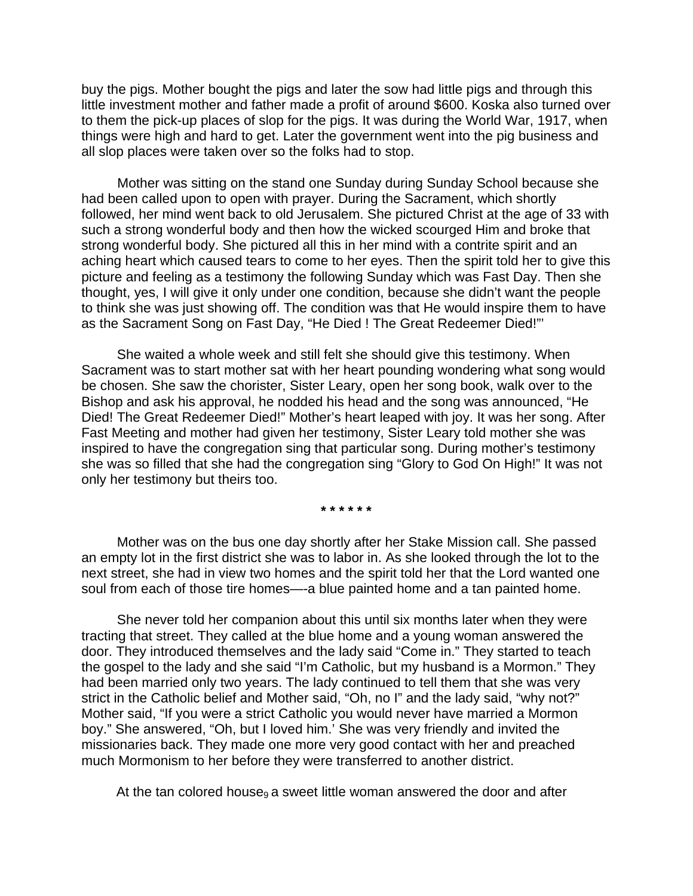buy the pigs. Mother bought the pigs and later the sow had little pigs and through this little investment mother and father made a profit of around \$600. Koska also turned over to them the pick-up places of slop for the pigs. It was during the World War, 1917, when things were high and hard to get. Later the government went into the pig business and all slop places were taken over so the folks had to stop.

Mother was sitting on the stand one Sunday during Sunday School because she had been called upon to open with prayer. During the Sacrament, which shortly followed, her mind went back to old Jerusalem. She pictured Christ at the age of 33 with such a strong wonderful body and then how the wicked scourged Him and broke that strong wonderful body. She pictured all this in her mind with a contrite spirit and an aching heart which caused tears to come to her eyes. Then the spirit told her to give this picture and feeling as a testimony the following Sunday which was Fast Day. Then she thought, yes, I will give it only under one condition, because she didn't want the people to think she was just showing off. The condition was that He would inspire them to have as the Sacrament Song on Fast Day, "He Died ! The Great Redeemer Died!"'

She waited a whole week and still felt she should give this testimony. When Sacrament was to start mother sat with her heart pounding wondering what song would be chosen. She saw the chorister, Sister Leary, open her song book, walk over to the Bishop and ask his approval, he nodded his head and the song was announced, "He Died! The Great Redeemer Died!" Mother's heart leaped with joy. It was her song. After Fast Meeting and mother had given her testimony, Sister Leary told mother she was inspired to have the congregation sing that particular song. During mother's testimony she was so filled that she had the congregation sing "Glory to God On High!" It was not only her testimony but theirs too.

**\* \* \* \* \* \*** 

Mother was on the bus one day shortly after her Stake Mission call. She passed an empty lot in the first district she was to labor in. As she looked through the lot to the next street, she had in view two homes and the spirit told her that the Lord wanted one soul from each of those tire homes—-a blue painted home and a tan painted home.

She never told her companion about this until six months later when they were tracting that street. They called at the blue home and a young woman answered the door. They introduced themselves and the lady said "Come in." They started to teach the gospel to the lady and she said "I'm Catholic, but my husband is a Mormon." They had been married only two years. The lady continued to tell them that she was very strict in the Catholic belief and Mother said, "Oh, no I" and the lady said, "why not?" Mother said, "If you were a strict Catholic you would never have married a Mormon boy." She answered, "Oh, but I loved him.' She was very friendly and invited the missionaries back. They made one more very good contact with her and preached much Mormonism to her before they were transferred to another district.

At the tan colored house<sub>9</sub> a sweet little woman answered the door and after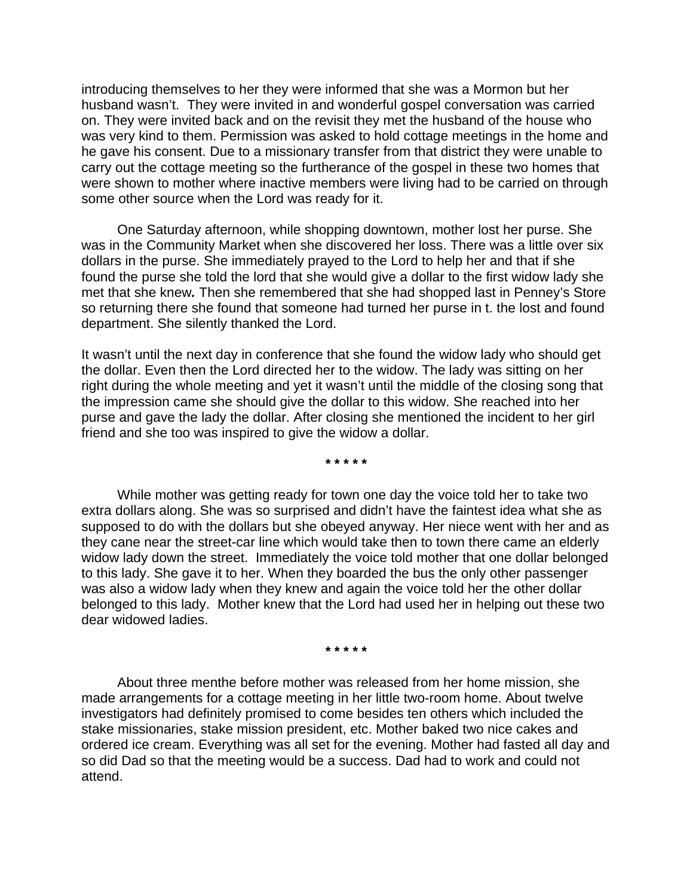introducing themselves to her they were informed that she was a Mormon but her husband wasn't. They were invited in and wonderful gospel conversation was carried on. They were invited back and on the revisit they met the husband of the house who was very kind to them. Permission was asked to hold cottage meetings in the home and he gave his consent. Due to a missionary transfer from that district they were unable to carry out the cottage meeting so the furtherance of the gospel in these two homes that were shown to mother where inactive members were living had to be carried on through some other source when the Lord was ready for it.

One Saturday afternoon, while shopping downtown, mother lost her purse. She was in the Community Market when she discovered her loss. There was a little over six dollars in the purse. She immediately prayed to the Lord to help her and that if she found the purse she told the lord that she would give a dollar to the first widow lady she met that she knew*.* Then she remembered that she had shopped last in Penney's Store so returning there she found that someone had turned her purse in t. the lost and found department. She silently thanked the Lord.

It wasn't until the next day in conference that she found the widow lady who should get the dollar. Even then the Lord directed her to the widow. The lady was sitting on her right during the whole meeting and yet it wasn't until the middle of the closing song that the impression came she should give the dollar to this widow. She reached into her purse and gave the lady the dollar. After closing she mentioned the incident to her girl friend and she too was inspired to give the widow a dollar.

**\* \* \* \* \*** 

While mother was getting ready for town one day the voice told her to take two extra dollars along. She was so surprised and didn't have the faintest idea what she as supposed to do with the dollars but she obeyed anyway. Her niece went with her and as they cane near the street-car line which would take then to town there came an elderly widow lady down the street. Immediately the voice told mother that one dollar belonged to this lady. She gave it to her. When they boarded the bus the only other passenger was also a widow lady when they knew and again the voice told her the other dollar belonged to this lady. Mother knew that the Lord had used her in helping out these two dear widowed ladies.

**\* \* \* \* \*** 

About three menthe before mother was released from her home mission, she made arrangements for a cottage meeting in her little two-room home. About twelve investigators had definitely promised to come besides ten others which included the stake missionaries, stake mission president, etc. Mother baked two nice cakes and ordered ice cream. Everything was all set for the evening. Mother had fasted all day and so did Dad so that the meeting would be a success. Dad had to work and could not attend.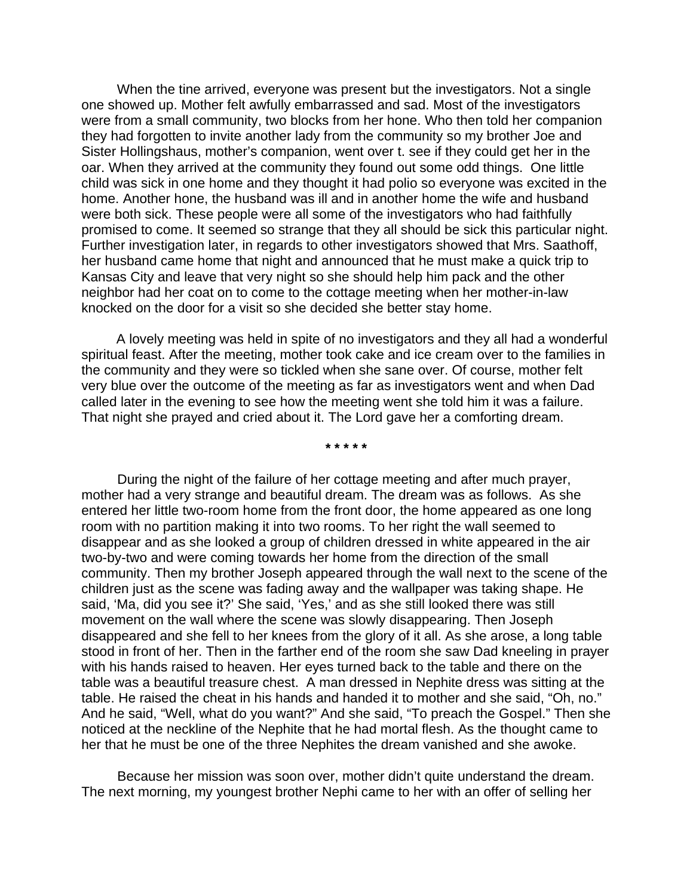When the tine arrived, everyone was present but the investigators. Not a single one showed up. Mother felt awfully embarrassed and sad. Most of the investigators were from a small community, two blocks from her hone. Who then told her companion they had forgotten to invite another lady from the community so my brother Joe and Sister Hollingshaus, mother's companion, went over t. see if they could get her in the oar. When they arrived at the community they found out some odd things. One little child was sick in one home and they thought it had polio so everyone was excited in the home. Another hone, the husband was ill and in another home the wife and husband were both sick. These people were all some of the investigators who had faithfully promised to come. It seemed so strange that they all should be sick this particular night. Further investigation later, in regards to other investigators showed that Mrs. Saathoff, her husband came home that night and announced that he must make a quick trip to Kansas City and leave that very night so she should help him pack and the other neighbor had her coat on to come to the cottage meeting when her mother-in-law knocked on the door for a visit so she decided she better stay home.

A lovely meeting was held in spite of no investigators and they all had a wonderful spiritual feast. After the meeting, mother took cake and ice cream over to the families in the community and they were so tickled when she sane over. Of course, mother felt very blue over the outcome of the meeting as far as investigators went and when Dad called later in the evening to see how the meeting went she told him it was a failure. That night she prayed and cried about it. The Lord gave her a comforting dream.

**\* \* \* \* \*** 

During the night of the failure of her cottage meeting and after much prayer, mother had a very strange and beautiful dream. The dream was as follows. As she entered her little two-room home from the front door, the home appeared as one long room with no partition making it into two rooms. To her right the wall seemed to disappear and as she looked a group of children dressed in white appeared in the air two-by-two and were coming towards her home from the direction of the small community. Then my brother Joseph appeared through the wall next to the scene of the children just as the scene was fading away and the wallpaper was taking shape. He said, 'Ma, did you see it?' She said, 'Yes,' and as she still looked there was still movement on the wall where the scene was slowly disappearing. Then Joseph disappeared and she fell to her knees from the glory of it all. As she arose, a long table stood in front of her. Then in the farther end of the room she saw Dad kneeling in prayer with his hands raised to heaven. Her eyes turned back to the table and there on the table was a beautiful treasure chest. A man dressed in Nephite dress was sitting at the table. He raised the cheat in his hands and handed it to mother and she said, "Oh, no." And he said, "Well, what do you want?" And she said, "To preach the Gospel." Then she noticed at the neckline of the Nephite that he had mortal flesh. As the thought came to her that he must be one of the three Nephites the dream vanished and she awoke.

Because her mission was soon over, mother didn't quite understand the dream. The next morning, my youngest brother Nephi came to her with an offer of selling her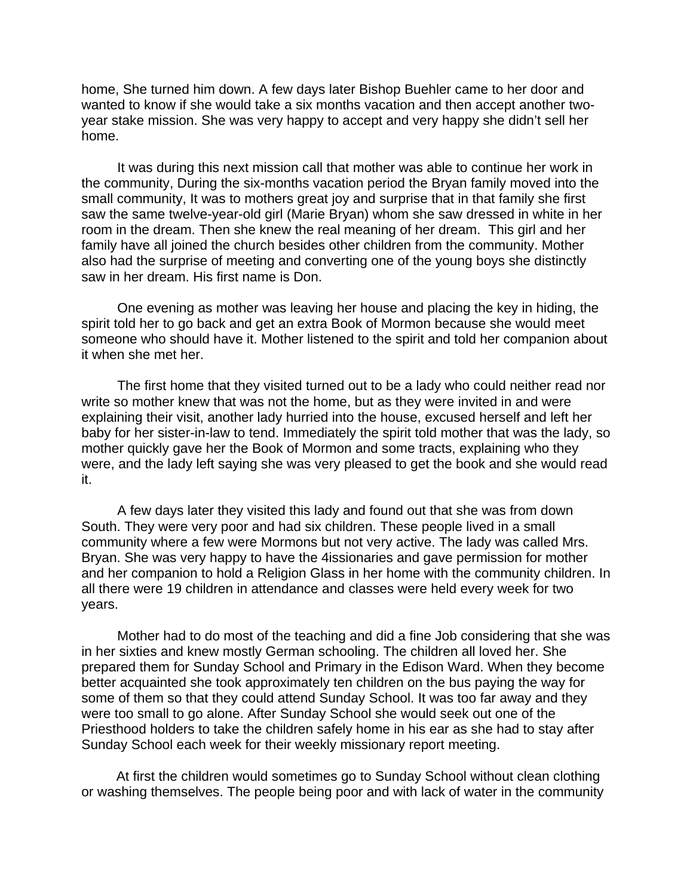home, She turned him down. A few days later Bishop Buehler came to her door and wanted to know if she would take a six months vacation and then accept another twoyear stake mission. She was very happy to accept and very happy she didn't sell her home.

It was during this next mission call that mother was able to continue her work in the community, During the six-months vacation period the Bryan family moved into the small community, It was to mothers great joy and surprise that in that family she first saw the same twelve-year-old girl (Marie Bryan) whom she saw dressed in white in her room in the dream. Then she knew the real meaning of her dream. This girl and her family have all joined the church besides other children from the community. Mother also had the surprise of meeting and converting one of the young boys she distinctly saw in her dream. His first name is Don.

One evening as mother was leaving her house and placing the key in hiding, the spirit told her to go back and get an extra Book of Mormon because she would meet someone who should have it. Mother listened to the spirit and told her companion about it when she met her.

The first home that they visited turned out to be a lady who could neither read nor write so mother knew that was not the home, but as they were invited in and were explaining their visit, another lady hurried into the house, excused herself and left her baby for her sister-in-law to tend. Immediately the spirit told mother that was the lady, so mother quickly gave her the Book of Mormon and some tracts, explaining who they were, and the lady left saying she was very pleased to get the book and she would read it.

A few days later they visited this lady and found out that she was from down South. They were very poor and had six children. These people lived in a small community where a few were Mormons but not very active. The lady was called Mrs. Bryan. She was very happy to have the 4issionaries and gave permission for mother and her companion to hold a Religion Glass in her home with the community children. In all there were 19 children in attendance and classes were held every week for two years.

Mother had to do most of the teaching and did a fine Job considering that she was in her sixties and knew mostly German schooling. The children all loved her. She prepared them for Sunday School and Primary in the Edison Ward. When they become better acquainted she took approximately ten children on the bus paying the way for some of them so that they could attend Sunday School. It was too far away and they were too small to go alone. After Sunday School she would seek out one of the Priesthood holders to take the children safely home in his ear as she had to stay after Sunday School each week for their weekly missionary report meeting.

At first the children would sometimes go to Sunday School without clean clothing or washing themselves. The people being poor and with lack of water in the community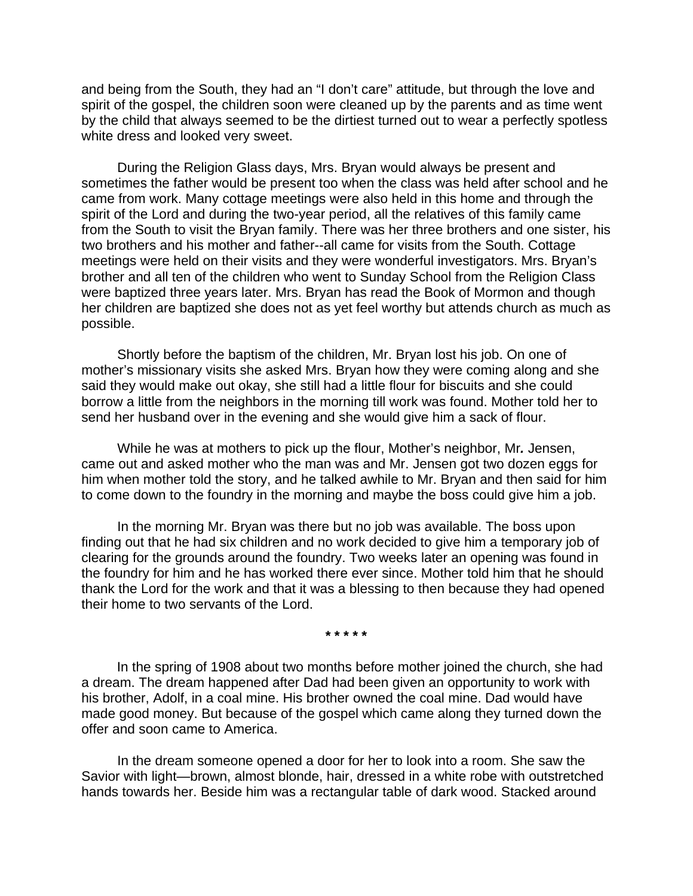and being from the South, they had an "I don't care" attitude, but through the love and spirit of the gospel, the children soon were cleaned up by the parents and as time went by the child that always seemed to be the dirtiest turned out to wear a perfectly spotless white dress and looked very sweet.

During the Religion Glass days, Mrs. Bryan would always be present and sometimes the father would be present too when the class was held after school and he came from work. Many cottage meetings were also held in this home and through the spirit of the Lord and during the two-year period, all the relatives of this family came from the South to visit the Bryan family. There was her three brothers and one sister, his two brothers and his mother and father--all came for visits from the South. Cottage meetings were held on their visits and they were wonderful investigators. Mrs. Bryan's brother and all ten of the children who went to Sunday School from the Religion Class were baptized three years later. Mrs. Bryan has read the Book of Mormon and though her children are baptized she does not as yet feel worthy but attends church as much as possible.

Shortly before the baptism of the children, Mr. Bryan lost his job. On one of mother's missionary visits she asked Mrs. Bryan how they were coming along and she said they would make out okay, she still had a little flour for biscuits and she could borrow a little from the neighbors in the morning till work was found. Mother told her to send her husband over in the evening and she would give him a sack of flour.

While he was at mothers to pick up the flour, Mother's neighbor, Mr*.* Jensen, came out and asked mother who the man was and Mr. Jensen got two dozen eggs for him when mother told the story, and he talked awhile to Mr. Bryan and then said for him to come down to the foundry in the morning and maybe the boss could give him a job.

In the morning Mr. Bryan was there but no job was available. The boss upon finding out that he had six children and no work decided to give him a temporary job of clearing for the grounds around the foundry. Two weeks later an opening was found in the foundry for him and he has worked there ever since. Mother told him that he should thank the Lord for the work and that it was a blessing to then because they had opened their home to two servants of the Lord.

**\* \* \* \* \*** 

In the spring of 1908 about two months before mother joined the church, she had a dream. The dream happened after Dad had been given an opportunity to work with his brother, Adolf, in a coal mine. His brother owned the coal mine. Dad would have made good money. But because of the gospel which came along they turned down the offer and soon came to America.

In the dream someone opened a door for her to look into a room. She saw the Savior with light—brown, almost blonde, hair, dressed in a white robe with outstretched hands towards her. Beside him was a rectangular table of dark wood. Stacked around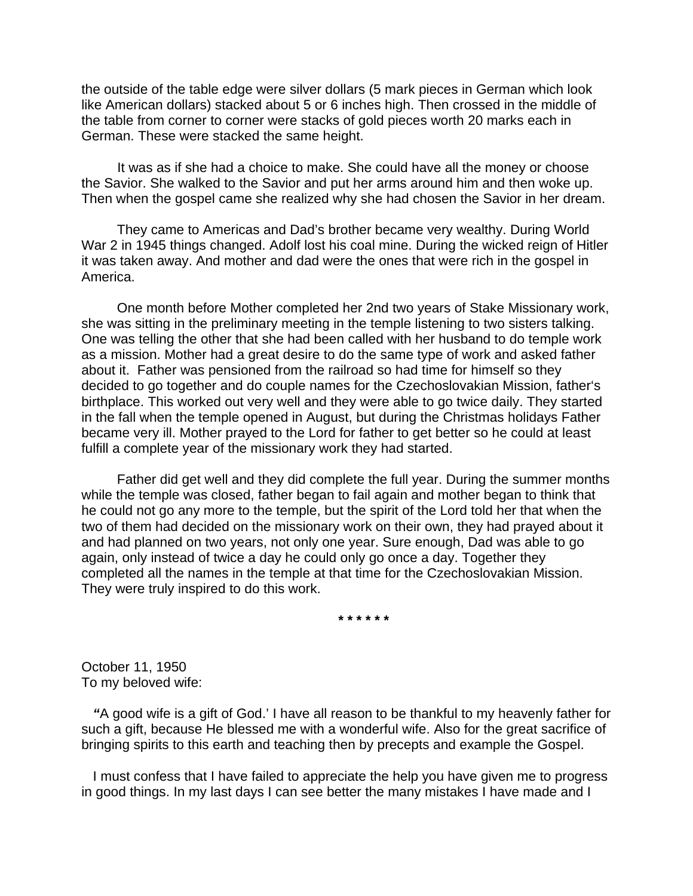the outside of the table edge were silver dollars (5 mark pieces in German which look like American dollars) stacked about 5 or 6 inches high. Then crossed in the middle of the table from corner to corner were stacks of gold pieces worth 20 marks each in German. These were stacked the same height.

It was as if she had a choice to make. She could have all the money or choose the Savior. She walked to the Savior and put her arms around him and then woke up. Then when the gospel came she realized why she had chosen the Savior in her dream.

They came to Americas and Dad's brother became very wealthy. During World War 2 in 1945 things changed. Adolf lost his coal mine. During the wicked reign of Hitler it was taken away. And mother and dad were the ones that were rich in the gospel in America.

One month before Mother completed her 2nd two years of Stake Missionary work, she was sitting in the preliminary meeting in the temple listening to two sisters talking. One was telling the other that she had been called with her husband to do temple work as a mission. Mother had a great desire to do the same type of work and asked father about it. Father was pensioned from the railroad so had time for himself so they decided to go together and do couple names for the Czechoslovakian Mission, father's birthplace. This worked out very well and they were able to go twice daily. They started in the fall when the temple opened in August, but during the Christmas holidays Father became very ill. Mother prayed to the Lord for father to get better so he could at least fulfill a complete year of the missionary work they had started.

Father did get well and they did complete the full year. During the summer months while the temple was closed, father began to fail again and mother began to think that he could not go any more to the temple, but the spirit of the Lord told her that when the two of them had decided on the missionary work on their own, they had prayed about it and had planned on two years, not only one year. Sure enough, Dad was able to go again, only instead of twice a day he could only go once a day. Together they completed all the names in the temple at that time for the Czechoslovakian Mission. They were truly inspired to do this work.

**\* \* \* \* \* \*** 

October 11, 1950 To my beloved wife:

*"*A good wife is a gift of God.' I have all reason to be thankful to my heavenly father for such a gift, because He blessed me with a wonderful wife. Also for the great sacrifice of bringing spirits to this earth and teaching then by precepts and example the Gospel.

 I must confess that I have failed to appreciate the help you have given me to progress in good things. In my last days I can see better the many mistakes I have made and I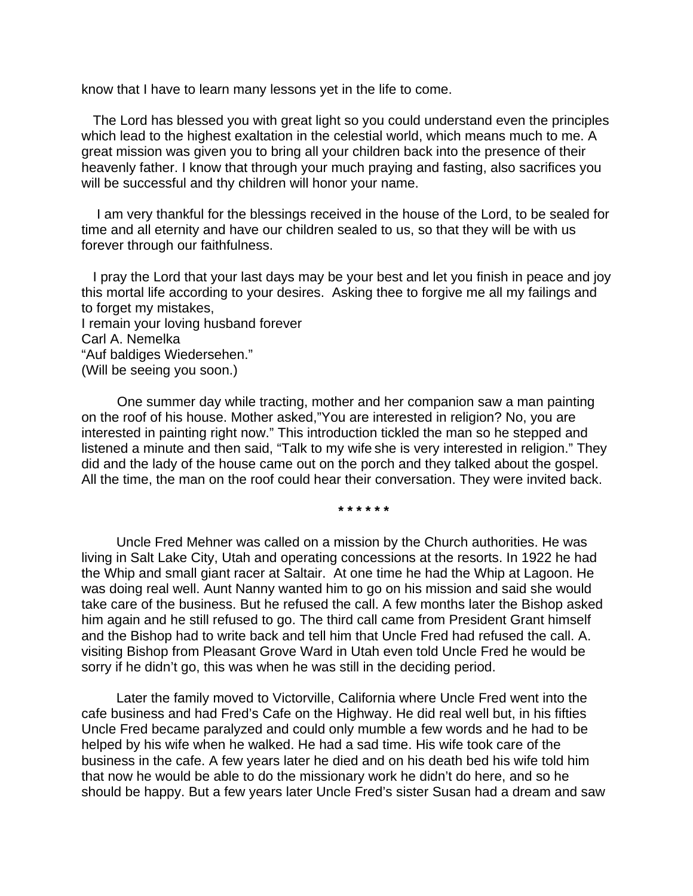know that I have to learn many lessons yet in the life to come.

 The Lord has blessed you with great light so you could understand even the principles which lead to the highest exaltation in the celestial world, which means much to me. A great mission was given you to bring all your children back into the presence of their heavenly father. I know that through your much praying and fasting, also sacrifices you will be successful and thy children will honor your name.

 I am very thankful for the blessings received in the house of the Lord, to be sealed for time and all eternity and have our children sealed to us, so that they will be with us forever through our faithfulness.

 I pray the Lord that your last days may be your best and let you finish in peace and joy this mortal life according to your desires. Asking thee to forgive me all my failings and to forget my mistakes,

I remain your loving husband forever Carl A. Nemelka "Auf baldiges Wiedersehen." (Will be seeing you soon.)

One summer day while tracting, mother and her companion saw a man painting on the roof of his house. Mother asked,"You are interested in religion? No, you are interested in painting right now." This introduction tickled the man so he stepped and listened a minute and then said, "Talk to my wife she is very interested in religion." They did and the lady of the house came out on the porch and they talked about the gospel. All the time, the man on the roof could hear their conversation. They were invited back.

**\* \* \* \* \* \*** 

Uncle Fred Mehner was called on a mission by the Church authorities. He was living in Salt Lake City, Utah and operating concessions at the resorts. In 1922 he had the Whip and small giant racer at Saltair. At one time he had the Whip at Lagoon. He was doing real well. Aunt Nanny wanted him to go on his mission and said she would take care of the business. But he refused the call. A few months later the Bishop asked him again and he still refused to go. The third call came from President Grant himself and the Bishop had to write back and tell him that Uncle Fred had refused the call. A. visiting Bishop from Pleasant Grove Ward in Utah even told Uncle Fred he would be sorry if he didn't go, this was when he was still in the deciding period.

Later the family moved to Victorville, California where Uncle Fred went into the cafe business and had Fred's Cafe on the Highway. He did real well but, in his fifties Uncle Fred became paralyzed and could only mumble a few words and he had to be helped by his wife when he walked. He had a sad time. His wife took care of the business in the cafe. A few years later he died and on his death bed his wife told him that now he would be able to do the missionary work he didn't do here, and so he should be happy. But a few years later Uncle Fred's sister Susan had a dream and saw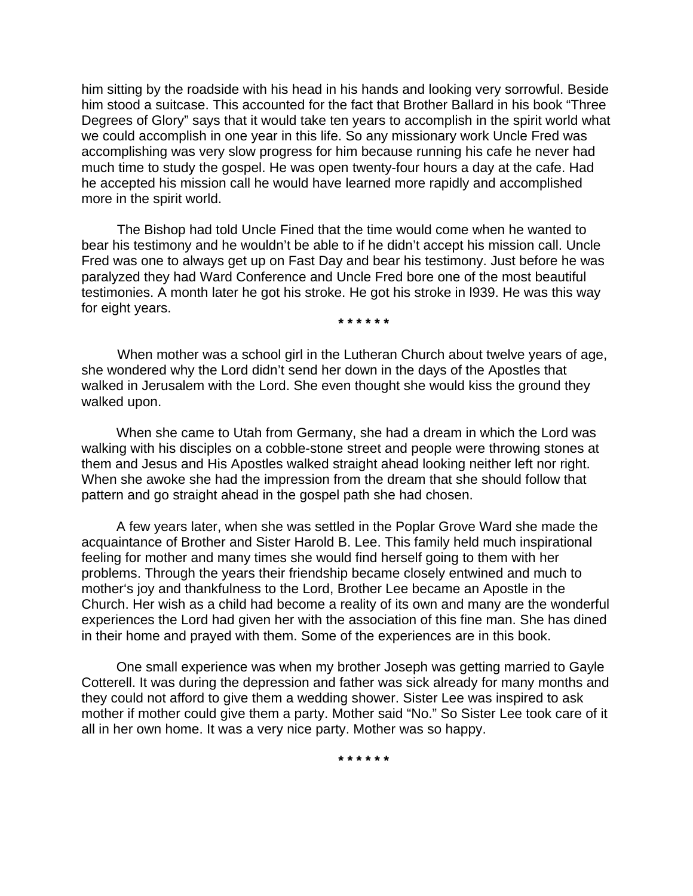him sitting by the roadside with his head in his hands and looking very sorrowful. Beside him stood a suitcase. This accounted for the fact that Brother Ballard in his book "Three Degrees of Glory" says that it would take ten years to accomplish in the spirit world what we could accomplish in one year in this life. So any missionary work Uncle Fred was accomplishing was very slow progress for him because running his cafe he never had much time to study the gospel. He was open twenty-four hours a day at the cafe. Had he accepted his mission call he would have learned more rapidly and accomplished more in the spirit world.

The Bishop had told Uncle Fined that the time would come when he wanted to bear his testimony and he wouldn't be able to if he didn't accept his mission call. Uncle Fred was one to always get up on Fast Day and bear his testimony. Just before he was paralyzed they had Ward Conference and Uncle Fred bore one of the most beautiful testimonies. A month later he got his stroke. He got his stroke in l939. He was this way for eight years.

**\* \* \* \* \* \*** 

When mother was a school girl in the Lutheran Church about twelve years of age, she wondered why the Lord didn't send her down in the days of the Apostles that walked in Jerusalem with the Lord. She even thought she would kiss the ground they walked upon.

When she came to Utah from Germany, she had a dream in which the Lord was walking with his disciples on a cobble-stone street and people were throwing stones at them and Jesus and His Apostles walked straight ahead looking neither left nor right. When she awoke she had the impression from the dream that she should follow that pattern and go straight ahead in the gospel path she had chosen.

A few years later, when she was settled in the Poplar Grove Ward she made the acquaintance of Brother and Sister Harold B. Lee. This family held much inspirational feeling for mother and many times she would find herself going to them with her problems. Through the years their friendship became closely entwined and much to mother's joy and thankfulness to the Lord, Brother Lee became an Apostle in the Church. Her wish as a child had become a reality of its own and many are the wonderful experiences the Lord had given her with the association of this fine man. She has dined in their home and prayed with them. Some of the experiences are in this book.

One small experience was when my brother Joseph was getting married to Gayle Cotterell. It was during the depression and father was sick already for many months and they could not afford to give them a wedding shower. Sister Lee was inspired to ask mother if mother could give them a party. Mother said "No." So Sister Lee took care of it all in her own home. It was a very nice party. Mother was so happy.

**\* \* \* \* \* \***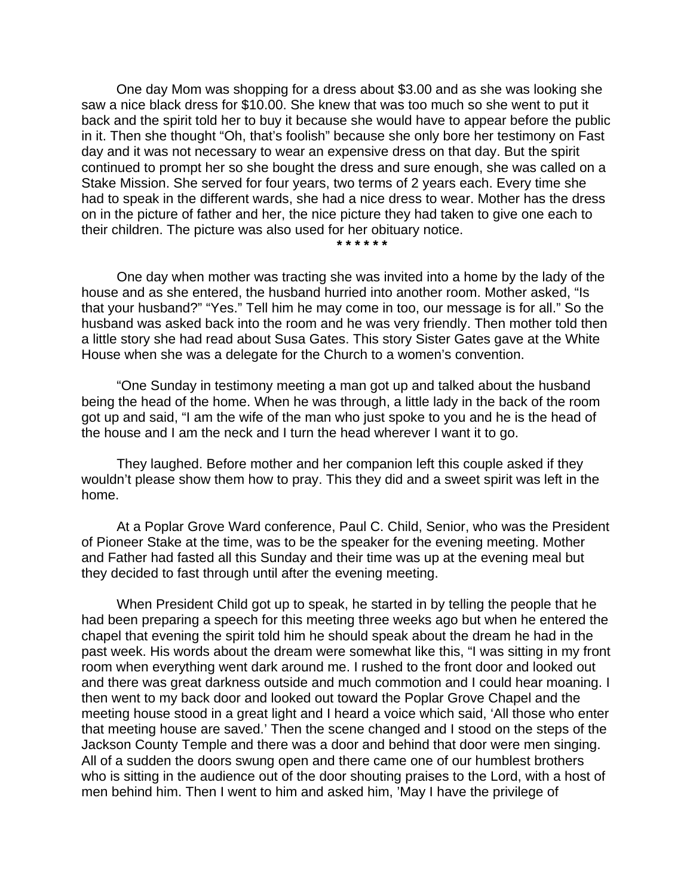One day Mom was shopping for a dress about \$3.00 and as she was looking she saw a nice black dress for \$10.00. She knew that was too much so she went to put it back and the spirit told her to buy it because she would have to appear before the public in it. Then she thought "Oh, that's foolish" because she only bore her testimony on Fast day and it was not necessary to wear an expensive dress on that day. But the spirit continued to prompt her so she bought the dress and sure enough, she was called on a Stake Mission. She served for four years, two terms of 2 years each. Every time she had to speak in the different wards, she had a nice dress to wear. Mother has the dress on in the picture of father and her, the nice picture they had taken to give one each to their children. The picture was also used for her obituary notice.

**\* \* \* \* \* \*** 

 One day when mother was tracting she was invited into a home by the lady of the house and as she entered, the husband hurried into another room. Mother asked, "Is that your husband?" "Yes." Tell him he may come in too, our message is for all." So the husband was asked back into the room and he was very friendly. Then mother told then a little story she had read about Susa Gates. This story Sister Gates gave at the White House when she was a delegate for the Church to a women's convention.

"One Sunday in testimony meeting a man got up and talked about the husband being the head of the home. When he was through, a little lady in the back of the room got up and said, "I am the wife of the man who just spoke to you and he is the head of the house and I am the neck and I turn the head wherever I want it to go.

They laughed. Before mother and her companion left this couple asked if they wouldn't please show them how to pray. This they did and a sweet spirit was left in the home.

At a Poplar Grove Ward conference, Paul C. Child, Senior, who was the President of Pioneer Stake at the time, was to be the speaker for the evening meeting. Mother and Father had fasted all this Sunday and their time was up at the evening meal but they decided to fast through until after the evening meeting.

When President Child got up to speak, he started in by telling the people that he had been preparing a speech for this meeting three weeks ago but when he entered the chapel that evening the spirit told him he should speak about the dream he had in the past week. His words about the dream were somewhat like this, "I was sitting in my front room when everything went dark around me. I rushed to the front door and looked out and there was great darkness outside and much commotion and I could hear moaning. I then went to my back door and looked out toward the Poplar Grove Chapel and the meeting house stood in a great light and I heard a voice which said, 'All those who enter that meeting house are saved.' Then the scene changed and I stood on the steps of the Jackson County Temple and there was a door and behind that door were men singing. All of a sudden the doors swung open and there came one of our humblest brothers who is sitting in the audience out of the door shouting praises to the Lord, with a host of men behind him. Then I went to him and asked him, 'May I have the privilege of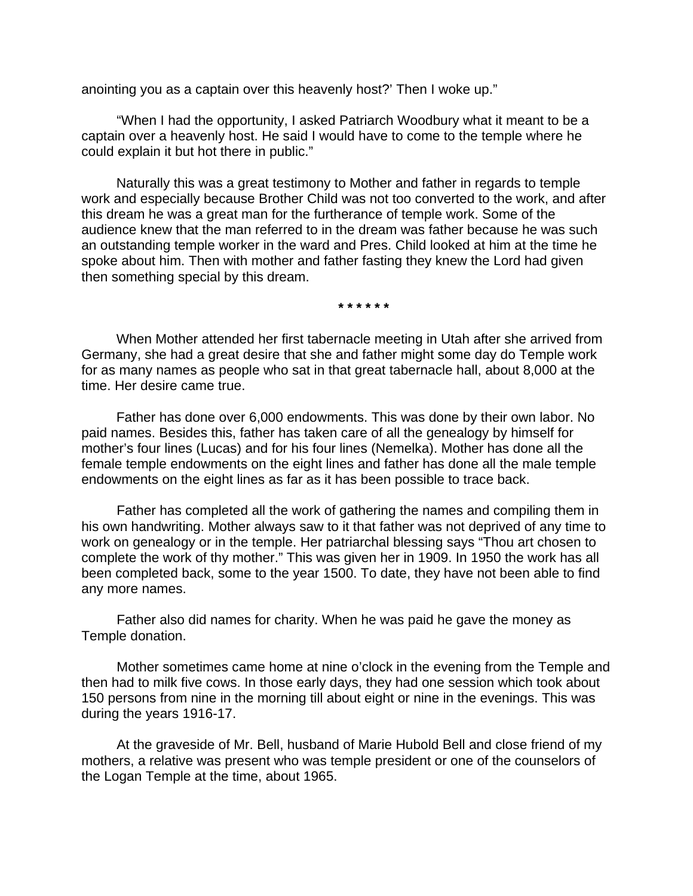anointing you as a captain over this heavenly host?' Then I woke up."

"When I had the opportunity, I asked Patriarch Woodbury what it meant to be a captain over a heavenly host. He said I would have to come to the temple where he could explain it but hot there in public."

Naturally this was a great testimony to Mother and father in regards to temple work and especially because Brother Child was not too converted to the work, and after this dream he was a great man for the furtherance of temple work. Some of the audience knew that the man referred to in the dream was father because he was such an outstanding temple worker in the ward and Pres. Child looked at him at the time he spoke about him. Then with mother and father fasting they knew the Lord had given then something special by this dream.

**\* \* \* \* \* \*** 

When Mother attended her first tabernacle meeting in Utah after she arrived from Germany, she had a great desire that she and father might some day do Temple work for as many names as people who sat in that great tabernacle hall, about 8,000 at the time. Her desire came true.

Father has done over 6,000 endowments. This was done by their own labor. No paid names. Besides this, father has taken care of all the genealogy by himself for mother's four lines (Lucas) and for his four lines (Nemelka). Mother has done all the female temple endowments on the eight lines and father has done all the male temple endowments on the eight lines as far as it has been possible to trace back.

Father has completed all the work of gathering the names and compiling them in his own handwriting. Mother always saw to it that father was not deprived of any time to work on genealogy or in the temple. Her patriarchal blessing says "Thou art chosen to complete the work of thy mother." This was given her in 1909. In 1950 the work has all been completed back, some to the year 1500. To date, they have not been able to find any more names.

Father also did names for charity. When he was paid he gave the money as Temple donation.

Mother sometimes came home at nine o'clock in the evening from the Temple and then had to milk five cows. In those early days, they had one session which took about 150 persons from nine in the morning till about eight or nine in the evenings. This was during the years 1916-17.

At the graveside of Mr. Bell, husband of Marie Hubold Bell and close friend of my mothers, a relative was present who was temple president or one of the counselors of the Logan Temple at the time, about 1965.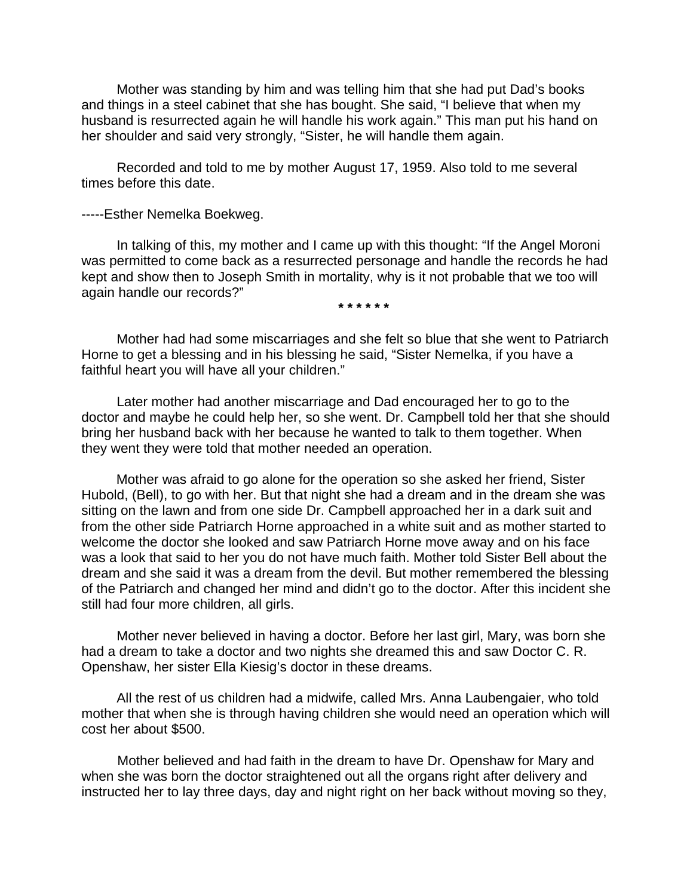Mother was standing by him and was telling him that she had put Dad's books and things in a steel cabinet that she has bought. She said, "I believe that when my husband is resurrected again he will handle his work again." This man put his hand on her shoulder and said very strongly, "Sister, he will handle them again.

Recorded and told to me by mother August 17, 1959. Also told to me several times before this date.

-----Esther Nemelka Boekweg.

In talking of this, my mother and I came up with this thought: "If the Angel Moroni was permitted to come back as a resurrected personage and handle the records he had kept and show then to Joseph Smith in mortality, why is it not probable that we too will again handle our records?"

**\* \* \* \* \* \*** 

Mother had had some miscarriages and she felt so blue that she went to Patriarch Horne to get a blessing and in his blessing he said, "Sister Nemelka, if you have a faithful heart you will have all your children."

Later mother had another miscarriage and Dad encouraged her to go to the doctor and maybe he could help her, so she went. Dr. Campbell told her that she should bring her husband back with her because he wanted to talk to them together. When they went they were told that mother needed an operation.

Mother was afraid to go alone for the operation so she asked her friend, Sister Hubold, (Bell), to go with her. But that night she had a dream and in the dream she was sitting on the lawn and from one side Dr. Campbell approached her in a dark suit and from the other side Patriarch Horne approached in a white suit and as mother started to welcome the doctor she looked and saw Patriarch Horne move away and on his face was a look that said to her you do not have much faith. Mother told Sister Bell about the dream and she said it was a dream from the devil. But mother remembered the blessing of the Patriarch and changed her mind and didn't go to the doctor. After this incident she still had four more children, all girls.

Mother never believed in having a doctor. Before her last girl, Mary, was born she had a dream to take a doctor and two nights she dreamed this and saw Doctor C. R. Openshaw, her sister Ella Kiesig's doctor in these dreams.

All the rest of us children had a midwife, called Mrs. Anna Laubengaier, who told mother that when she is through having children she would need an operation which will cost her about \$500.

Mother believed and had faith in the dream to have Dr. Openshaw for Mary and when she was born the doctor straightened out all the organs right after delivery and instructed her to lay three days, day and night right on her back without moving so they,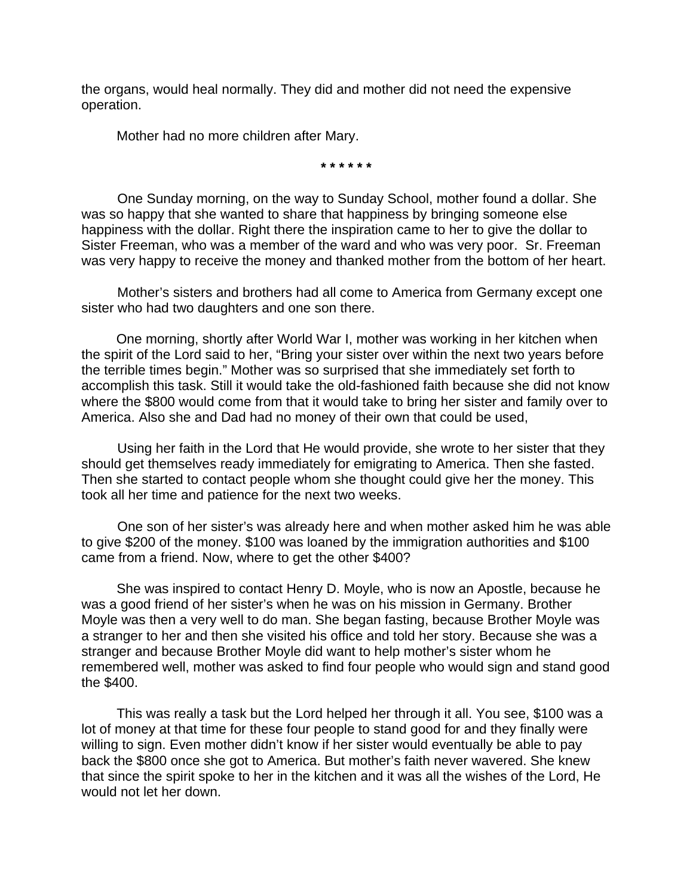the organs, would heal normally. They did and mother did not need the expensive operation.

Mother had no more children after Mary.

**\* \* \* \* \* \*** 

One Sunday morning, on the way to Sunday School, mother found a dollar. She was so happy that she wanted to share that happiness by bringing someone else happiness with the dollar. Right there the inspiration came to her to give the dollar to Sister Freeman, who was a member of the ward and who was very poor. Sr. Freeman was very happy to receive the money and thanked mother from the bottom of her heart.

Mother's sisters and brothers had all come to America from Germany except one sister who had two daughters and one son there.

One morning, shortly after World War I, mother was working in her kitchen when the spirit of the Lord said to her, "Bring your sister over within the next two years before the terrible times begin." Mother was so surprised that she immediately set forth to accomplish this task. Still it would take the old-fashioned faith because she did not know where the \$800 would come from that it would take to bring her sister and family over to America. Also she and Dad had no money of their own that could be used,

Using her faith in the Lord that He would provide, she wrote to her sister that they should get themselves ready immediately for emigrating to America. Then she fasted. Then she started to contact people whom she thought could give her the money. This took all her time and patience for the next two weeks.

One son of her sister's was already here and when mother asked him he was able to give \$200 of the money. \$100 was loaned by the immigration authorities and \$100 came from a friend. Now, where to get the other \$400?

She was inspired to contact Henry D. Moyle, who is now an Apostle, because he was a good friend of her sister's when he was on his mission in Germany. Brother Moyle was then a very well to do man. She began fasting, because Brother Moyle was a stranger to her and then she visited his office and told her story. Because she was a stranger and because Brother Moyle did want to help mother's sister whom he remembered well, mother was asked to find four people who would sign and stand good the \$400.

This was really a task but the Lord helped her through it all. You see, \$100 was a lot of money at that time for these four people to stand good for and they finally were willing to sign. Even mother didn't know if her sister would eventually be able to pay back the \$800 once she got to America. But mother's faith never wavered. She knew that since the spirit spoke to her in the kitchen and it was all the wishes of the Lord, He would not let her down.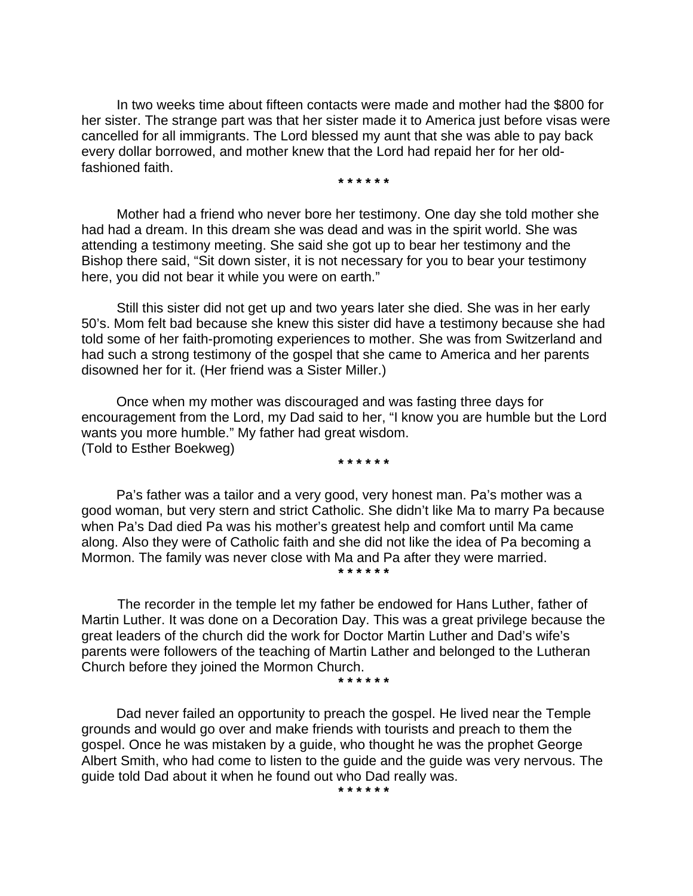In two weeks time about fifteen contacts were made and mother had the \$800 for her sister. The strange part was that her sister made it to America just before visas were cancelled for all immigrants. The Lord blessed my aunt that she was able to pay back every dollar borrowed, and mother knew that the Lord had repaid her for her oldfashioned faith.

**\* \* \* \* \* \*** 

Mother had a friend who never bore her testimony. One day she told mother she had had a dream. In this dream she was dead and was in the spirit world. She was attending a testimony meeting. She said she got up to bear her testimony and the Bishop there said, "Sit down sister, it is not necessary for you to bear your testimony here, you did not bear it while you were on earth."

Still this sister did not get up and two years later she died. She was in her early 50's. Mom felt bad because she knew this sister did have a testimony because she had told some of her faith-promoting experiences to mother. She was from Switzerland and had such a strong testimony of the gospel that she came to America and her parents disowned her for it. (Her friend was a Sister Miller.)

Once when my mother was discouraged and was fasting three days for encouragement from the Lord, my Dad said to her, "I know you are humble but the Lord wants you more humble." My father had great wisdom. (Told to Esther Boekweg)

**\* \* \* \* \* \*** 

Pa's father was a tailor and a very good, very honest man. Pa's mother was a good woman, but very stern and strict Catholic. She didn't like Ma to marry Pa because when Pa's Dad died Pa was his mother's greatest help and comfort until Ma came along. Also they were of Catholic faith and she did not like the idea of Pa becoming a Mormon. The family was never close with Ma and Pa after they were married. **\* \* \* \* \* \*** 

The recorder in the temple let my father be endowed for Hans Luther, father of Martin Luther. It was done on a Decoration Day. This was a great privilege because the great leaders of the church did the work for Doctor Martin Luther and Dad's wife's parents were followers of the teaching of Martin Lather and belonged to the Lutheran Church before they joined the Mormon Church.

**\* \* \* \* \* \*** 

Dad never failed an opportunity to preach the gospel. He lived near the Temple grounds and would go over and make friends with tourists and preach to them the gospel. Once he was mistaken by a guide, who thought he was the prophet George Albert Smith, who had come to listen to the guide and the guide was very nervous. The guide told Dad about it when he found out who Dad really was.

**\* \* \* \* \* \***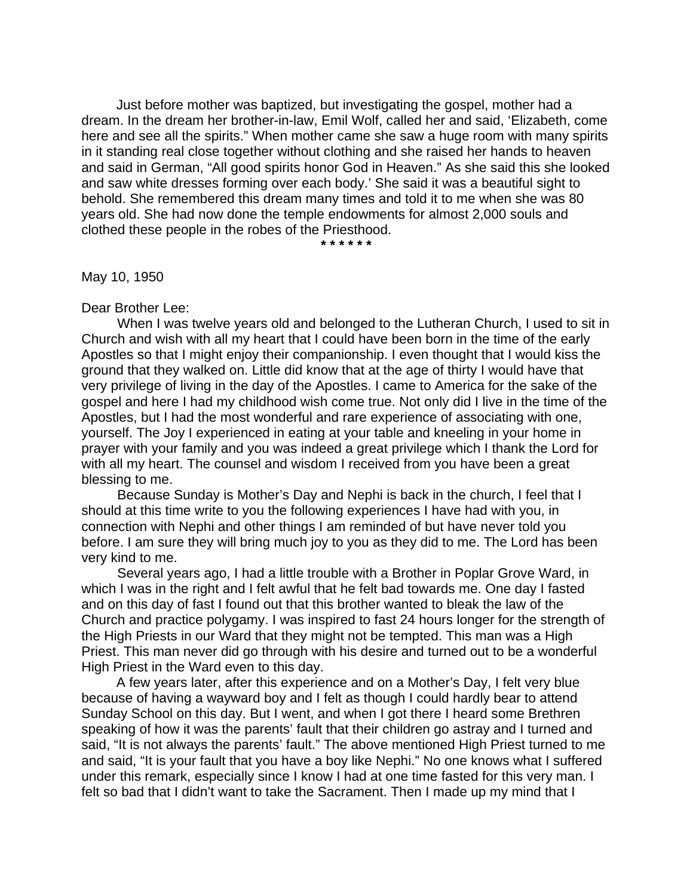Just before mother was baptized, but investigating the gospel, mother had a dream. In the dream her brother-in-law, Emil Wolf, called her and said, 'Elizabeth, come here and see all the spirits." When mother came she saw a huge room with many spirits in it standing real close together without clothing and she raised her hands to heaven and said in German, "All good spirits honor God in Heaven." As she said this she looked and saw white dresses forming over each body.' She said it was a beautiful sight to behold. She remembered this dream many times and told it to me when she was 80 years old. She had now done the temple endowments for almost 2,000 souls and clothed these people in the robes of the Priesthood.

**\* \* \* \* \* \***

May 10, 1950

Dear Brother Lee:

When I was twelve years old and belonged to the Lutheran Church, I used to sit in Church and wish with all my heart that I could have been born in the time of the early Apostles so that I might enjoy their companionship. I even thought that I would kiss the ground that they walked on. Little did know that at the age of thirty I would have that very privilege of living in the day of the Apostles. I came to America for the sake of the gospel and here I had my childhood wish come true. Not only did I live in the time of the Apostles, but I had the most wonderful and rare experience of associating with one, yourself. The Joy I experienced in eating at your table and kneeling in your home in prayer with your family and you was indeed a great privilege which I thank the Lord for with all my heart. The counsel and wisdom I received from you have been a great blessing to me.

Because Sunday is Mother's Day and Nephi is back in the church, I feel that I should at this time write to you the following experiences I have had with you, in connection with Nephi and other things I am reminded of but have never told you before. I am sure they will bring much joy to you as they did to me. The Lord has been very kind to me.

Several years ago, I had a little trouble with a Brother in Poplar Grove Ward, in which I was in the right and I felt awful that he felt bad towards me. One day I fasted and on this day of fast I found out that this brother wanted to bleak the law of the Church and practice polygamy. I was inspired to fast 24 hours longer for the strength of the High Priests in our Ward that they might not be tempted. This man was a High Priest. This man never did go through with his desire and turned out to be a wonderful High Priest in the Ward even to this day.

A few years later, after this experience and on a Mother's Day, I felt very blue because of having a wayward boy and I felt as though I could hardly bear to attend Sunday School on this day. But I went, and when I got there I heard some Brethren speaking of how it was the parents' fault that their children go astray and I turned and said, "It is not always the parents' fault." The above mentioned High Priest turned to me and said, "It is your fault that you have a boy like Nephi." No one knows what I suffered under this remark, especially since I know I had at one time fasted for this very man. I felt so bad that I didn't want to take the Sacrament. Then I made up my mind that I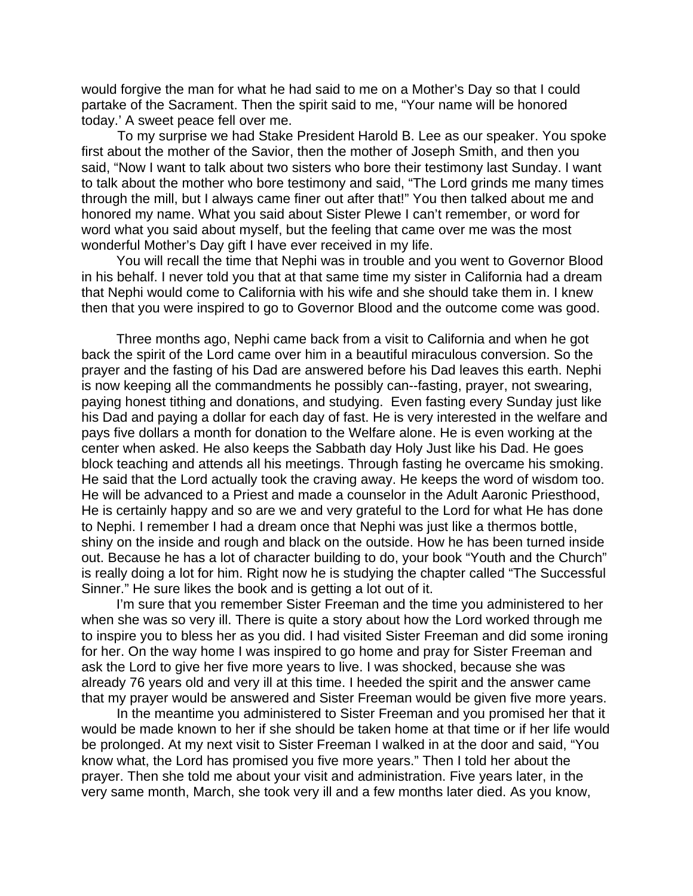would forgive the man for what he had said to me on a Mother's Day so that I could partake of the Sacrament. Then the spirit said to me, "Your name will be honored today.' A sweet peace fell over me.

To my surprise we had Stake President Harold B. Lee as our speaker. You spoke first about the mother of the Savior, then the mother of Joseph Smith, and then you said, "Now I want to talk about two sisters who bore their testimony last Sunday. I want to talk about the mother who bore testimony and said, "The Lord grinds me many times through the mill, but I always came finer out after that!" You then talked about me and honored my name. What you said about Sister Plewe I can't remember, or word for word what you said about myself, but the feeling that came over me was the most wonderful Mother's Day gift I have ever received in my life.

You will recall the time that Nephi was in trouble and you went to Governor Blood in his behalf. I never told you that at that same time my sister in California had a dream that Nephi would come to California with his wife and she should take them in. I knew then that you were inspired to go to Governor Blood and the outcome come was good.

Three months ago, Nephi came back from a visit to California and when he got back the spirit of the Lord came over him in a beautiful miraculous conversion. So the prayer and the fasting of his Dad are answered before his Dad leaves this earth. Nephi is now keeping all the commandments he possibly can--fasting, prayer, not swearing, paying honest tithing and donations, and studying. Even fasting every Sunday just like his Dad and paying a dollar for each day of fast. He is very interested in the welfare and pays five dollars a month for donation to the Welfare alone. He is even working at the center when asked. He also keeps the Sabbath day Holy Just like his Dad. He goes block teaching and attends all his meetings. Through fasting he overcame his smoking. He said that the Lord actually took the craving away. He keeps the word of wisdom too. He will be advanced to a Priest and made a counselor in the Adult Aaronic Priesthood, He is certainly happy and so are we and very grateful to the Lord for what He has done to Nephi. I remember I had a dream once that Nephi was just like a thermos bottle, shiny on the inside and rough and black on the outside. How he has been turned inside out. Because he has a lot of character building to do, your book "Youth and the Church" is really doing a lot for him. Right now he is studying the chapter called "The Successful Sinner." He sure likes the book and is getting a lot out of it.

I'm sure that you remember Sister Freeman and the time you administered to her when she was so very ill. There is quite a story about how the Lord worked through me to inspire you to bless her as you did. I had visited Sister Freeman and did some ironing for her. On the way home I was inspired to go home and pray for Sister Freeman and ask the Lord to give her five more years to live. I was shocked, because she was already 76 years old and very ill at this time. I heeded the spirit and the answer came that my prayer would be answered and Sister Freeman would be given five more years.

In the meantime you administered to Sister Freeman and you promised her that it would be made known to her if she should be taken home at that time or if her life would be prolonged. At my next visit to Sister Freeman I walked in at the door and said, "You know what, the Lord has promised you five more years." Then I told her about the prayer. Then she told me about your visit and administration. Five years later, in the very same month, March, she took very ill and a few months later died. As you know,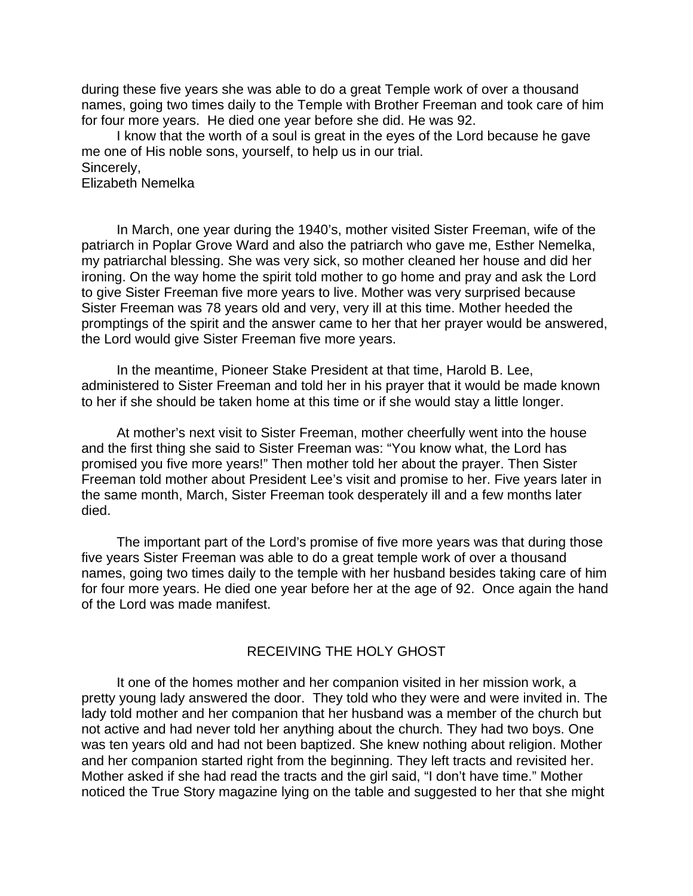during these five years she was able to do a great Temple work of over a thousand names, going two times daily to the Temple with Brother Freeman and took care of him for four more years. He died one year before she did. He was 92.

I know that the worth of a soul is great in the eyes of the Lord because he gave me one of His noble sons, yourself, to help us in our trial. Sincerely,

Elizabeth Nemelka

In March, one year during the 1940's, mother visited Sister Freeman, wife of the patriarch in Poplar Grove Ward and also the patriarch who gave me, Esther Nemelka, my patriarchal blessing. She was very sick, so mother cleaned her house and did her ironing. On the way home the spirit told mother to go home and pray and ask the Lord to give Sister Freeman five more years to live. Mother was very surprised because Sister Freeman was 78 years old and very, very ill at this time. Mother heeded the promptings of the spirit and the answer came to her that her prayer would be answered, the Lord would give Sister Freeman five more years.

In the meantime, Pioneer Stake President at that time, Harold B. Lee, administered to Sister Freeman and told her in his prayer that it would be made known to her if she should be taken home at this time or if she would stay a little longer.

At mother's next visit to Sister Freeman, mother cheerfully went into the house and the first thing she said to Sister Freeman was: "You know what, the Lord has promised you five more years!" Then mother told her about the prayer. Then Sister Freeman told mother about President Lee's visit and promise to her. Five years later in the same month, March, Sister Freeman took desperately ill and a few months later died.

The important part of the Lord's promise of five more years was that during those five years Sister Freeman was able to do a great temple work of over a thousand names, going two times daily to the temple with her husband besides taking care of him for four more years. He died one year before her at the age of 92. Once again the hand of the Lord was made manifest.

# RECEIVING THE HOLY GHOST

It one of the homes mother and her companion visited in her mission work, a pretty young lady answered the door. They told who they were and were invited in. The lady told mother and her companion that her husband was a member of the church but not active and had never told her anything about the church. They had two boys. One was ten years old and had not been baptized. She knew nothing about religion. Mother and her companion started right from the beginning. They left tracts and revisited her. Mother asked if she had read the tracts and the girl said, "I don't have time." Mother noticed the True Story magazine lying on the table and suggested to her that she might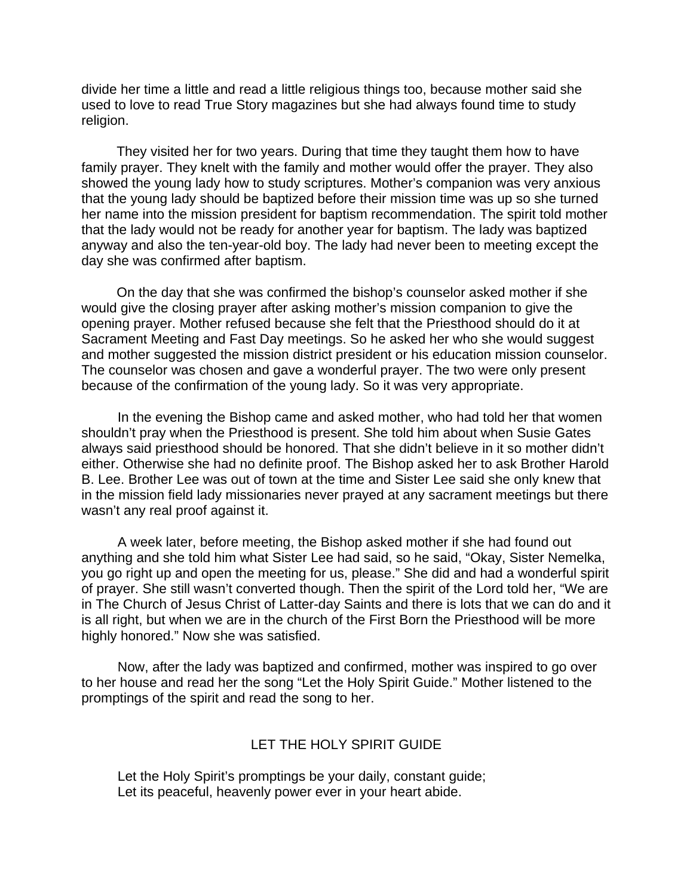divide her time a little and read a little religious things too, because mother said she used to love to read True Story magazines but she had always found time to study religion.

They visited her for two years. During that time they taught them how to have family prayer. They knelt with the family and mother would offer the prayer. They also showed the young lady how to study scriptures. Mother's companion was very anxious that the young lady should be baptized before their mission time was up so she turned her name into the mission president for baptism recommendation. The spirit told mother that the lady would not be ready for another year for baptism. The lady was baptized anyway and also the ten-year-old boy. The lady had never been to meeting except the day she was confirmed after baptism.

On the day that she was confirmed the bishop's counselor asked mother if she would give the closing prayer after asking mother's mission companion to give the opening prayer. Mother refused because she felt that the Priesthood should do it at Sacrament Meeting and Fast Day meetings. So he asked her who she would suggest and mother suggested the mission district president or his education mission counselor. The counselor was chosen and gave a wonderful prayer. The two were only present because of the confirmation of the young lady. So it was very appropriate.

In the evening the Bishop came and asked mother, who had told her that women shouldn't pray when the Priesthood is present. She told him about when Susie Gates always said priesthood should be honored. That she didn't believe in it so mother didn't either. Otherwise she had no definite proof. The Bishop asked her to ask Brother Harold B. Lee. Brother Lee was out of town at the time and Sister Lee said she only knew that in the mission field lady missionaries never prayed at any sacrament meetings but there wasn't any real proof against it.

A week later, before meeting, the Bishop asked mother if she had found out anything and she told him what Sister Lee had said, so he said, "Okay, Sister Nemelka, you go right up and open the meeting for us, please." She did and had a wonderful spirit of prayer. She still wasn't converted though. Then the spirit of the Lord told her, "We are in The Church of Jesus Christ of Latter-day Saints and there is lots that we can do and it is all right, but when we are in the church of the First Born the Priesthood will be more highly honored." Now she was satisfied.

Now, after the lady was baptized and confirmed, mother was inspired to go over to her house and read her the song "Let the Holy Spirit Guide." Mother listened to the promptings of the spirit and read the song to her.

# LET THE HOLY SPIRIT GUIDE

Let the Holy Spirit's promptings be your daily, constant guide; Let its peaceful, heavenly power ever in your heart abide.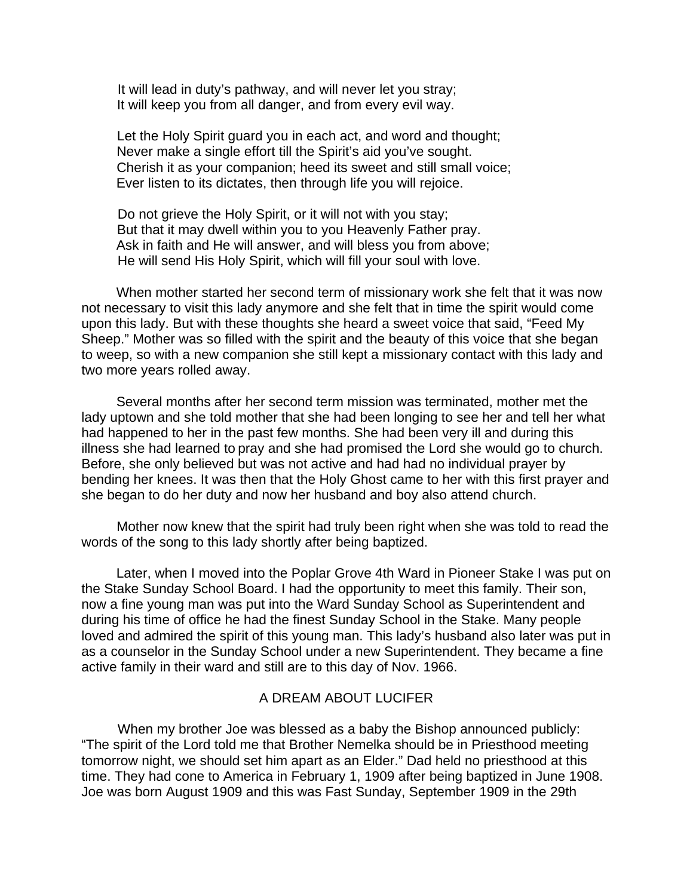It will lead in duty's pathway, and will never let you stray; It will keep you from all danger, and from every evil way.

Let the Holy Spirit guard you in each act, and word and thought; Never make a single effort till the Spirit's aid you've sought. Cherish it as your companion; heed its sweet and still small voice; Ever listen to its dictates, then through life you will rejoice.

Do not grieve the Holy Spirit, or it will not with you stay; But that it may dwell within you to you Heavenly Father pray. Ask in faith and He will answer, and will bless you from above; He will send His Holy Spirit, which will fill your soul with love.

When mother started her second term of missionary work she felt that it was now not necessary to visit this lady anymore and she felt that in time the spirit would come upon this lady. But with these thoughts she heard a sweet voice that said, "Feed My Sheep." Mother was so filled with the spirit and the beauty of this voice that she began to weep, so with a new companion she still kept a missionary contact with this lady and two more years rolled away.

Several months after her second term mission was terminated, mother met the lady uptown and she told mother that she had been longing to see her and tell her what had happened to her in the past few months. She had been very ill and during this illness she had learned to pray and she had promised the Lord she would go to church. Before, she only believed but was not active and had had no individual prayer by bending her knees. It was then that the Holy Ghost came to her with this first prayer and she began to do her duty and now her husband and boy also attend church.

Mother now knew that the spirit had truly been right when she was told to read the words of the song to this lady shortly after being baptized.

Later, when I moved into the Poplar Grove 4th Ward in Pioneer Stake I was put on the Stake Sunday School Board. I had the opportunity to meet this family. Their son, now a fine young man was put into the Ward Sunday School as Superintendent and during his time of office he had the finest Sunday School in the Stake. Many people loved and admired the spirit of this young man. This lady's husband also later was put in as a counselor in the Sunday School under a new Superintendent. They became a fine active family in their ward and still are to this day of Nov. 1966.

# A DREAM ABOUT LUCIFER

When my brother Joe was blessed as a baby the Bishop announced publicly: "The spirit of the Lord told me that Brother Nemelka should be in Priesthood meeting tomorrow night, we should set him apart as an Elder." Dad held no priesthood at this time. They had cone to America in February 1, 1909 after being baptized in June 1908. Joe was born August 1909 and this was Fast Sunday, September 1909 in the 29th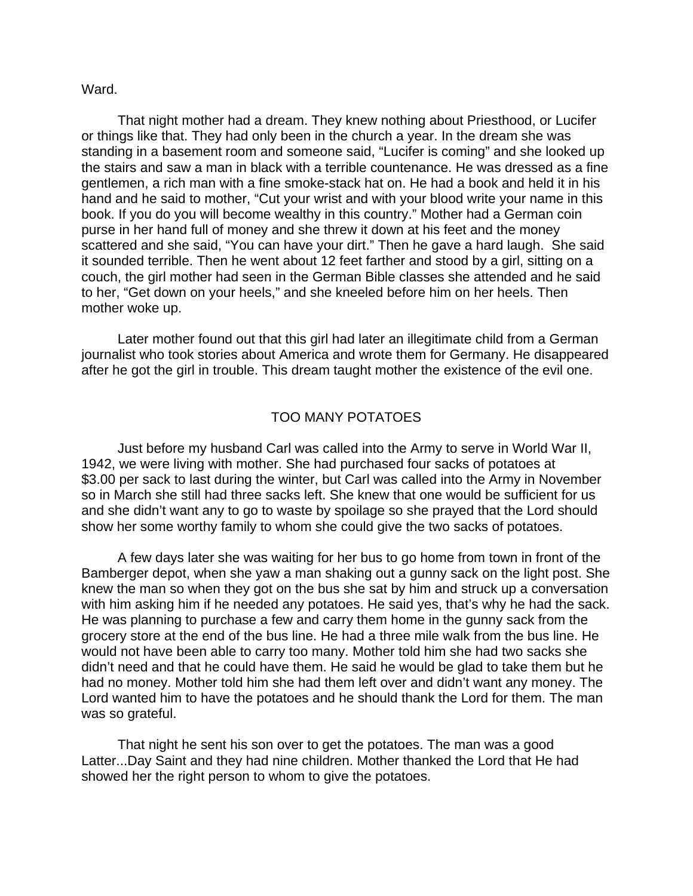### Ward.

That night mother had a dream. They knew nothing about Priesthood, or Lucifer or things like that. They had only been in the church a year. In the dream she was standing in a basement room and someone said, "Lucifer is coming" and she looked up the stairs and saw a man in black with a terrible countenance. He was dressed as a fine gentlemen, a rich man with a fine smoke-stack hat on. He had a book and held it in his hand and he said to mother, "Cut your wrist and with your blood write your name in this book. If you do you will become wealthy in this country." Mother had a German coin purse in her hand full of money and she threw it down at his feet and the money scattered and she said, "You can have your dirt." Then he gave a hard laugh. She said it sounded terrible. Then he went about 12 feet farther and stood by a girl, sitting on a couch, the girl mother had seen in the German Bible classes she attended and he said to her, "Get down on your heels," and she kneeled before him on her heels. Then mother woke up.

Later mother found out that this girl had later an illegitimate child from a German journalist who took stories about America and wrote them for Germany. He disappeared after he got the girl in trouble. This dream taught mother the existence of the evil one.

## TOO MANY POTATOES

Just before my husband Carl was called into the Army to serve in World War II, 1942, we were living with mother. She had purchased four sacks of potatoes at \$3.00 per sack to last during the winter, but Carl was called into the Army in November so in March she still had three sacks left. She knew that one would be sufficient for us and she didn't want any to go to waste by spoilage so she prayed that the Lord should show her some worthy family to whom she could give the two sacks of potatoes.

A few days later she was waiting for her bus to go home from town in front of the Bamberger depot, when she yaw a man shaking out a gunny sack on the light post. She knew the man so when they got on the bus she sat by him and struck up a conversation with him asking him if he needed any potatoes. He said yes, that's why he had the sack. He was planning to purchase a few and carry them home in the gunny sack from the grocery store at the end of the bus line. He had a three mile walk from the bus line. He would not have been able to carry too many. Mother told him she had two sacks she didn't need and that he could have them. He said he would be glad to take them but he had no money. Mother told him she had them left over and didn't want any money. The Lord wanted him to have the potatoes and he should thank the Lord for them. The man was so grateful.

That night he sent his son over to get the potatoes. The man was a good Latter...Day Saint and they had nine children. Mother thanked the Lord that He had showed her the right person to whom to give the potatoes.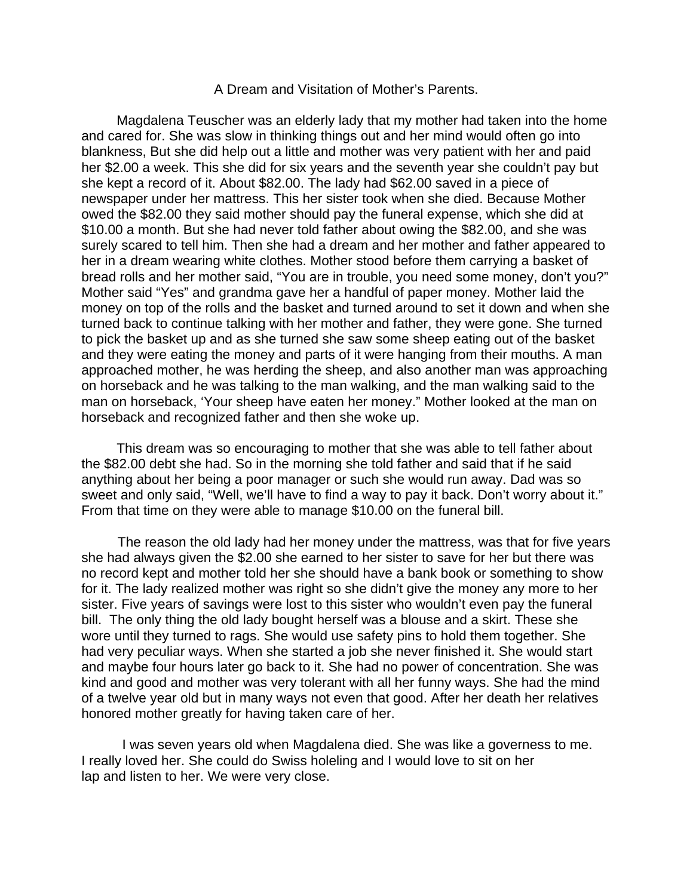#### A Dream and Visitation of Mother's Parents.

Magdalena Teuscher was an elderly lady that my mother had taken into the home and cared for. She was slow in thinking things out and her mind would often go into blankness, But she did help out a little and mother was very patient with her and paid her \$2.00 a week. This she did for six years and the seventh year she couldn't pay but she kept a record of it. About \$82.00. The lady had \$62.00 saved in a piece of newspaper under her mattress. This her sister took when she died. Because Mother owed the \$82.00 they said mother should pay the funeral expense, which she did at \$10.00 a month. But she had never told father about owing the \$82.00, and she was surely scared to tell him. Then she had a dream and her mother and father appeared to her in a dream wearing white clothes. Mother stood before them carrying a basket of bread rolls and her mother said, "You are in trouble, you need some money, don't you?" Mother said "Yes" and grandma gave her a handful of paper money. Mother laid the money on top of the rolls and the basket and turned around to set it down and when she turned back to continue talking with her mother and father, they were gone. She turned to pick the basket up and as she turned she saw some sheep eating out of the basket and they were eating the money and parts of it were hanging from their mouths. A man approached mother, he was herding the sheep, and also another man was approaching on horseback and he was talking to the man walking, and the man walking said to the man on horseback, 'Your sheep have eaten her money." Mother looked at the man on horseback and recognized father and then she woke up.

This dream was so encouraging to mother that she was able to tell father about the \$82.00 debt she had. So in the morning she told father and said that if he said anything about her being a poor manager or such she would run away. Dad was so sweet and only said, "Well, we'll have to find a way to pay it back. Don't worry about it." From that time on they were able to manage \$10.00 on the funeral bill.

The reason the old lady had her money under the mattress, was that for five years she had always given the \$2.00 she earned to her sister to save for her but there was no record kept and mother told her she should have a bank book or something to show for it. The lady realized mother was right so she didn't give the money any more to her sister. Five years of savings were lost to this sister who wouldn't even pay the funeral bill. The only thing the old lady bought herself was a blouse and a skirt. These she wore until they turned to rags. She would use safety pins to hold them together. She had very peculiar ways. When she started a job she never finished it. She would start and maybe four hours later go back to it. She had no power of concentration. She was kind and good and mother was very tolerant with all her funny ways. She had the mind of a twelve year old but in many ways not even that good. After her death her relatives honored mother greatly for having taken care of her.

 I was seven years old when Magdalena died. She was like a governess to me. I really loved her. She could do Swiss holeling and I would love to sit on her lap and listen to her. We were very close.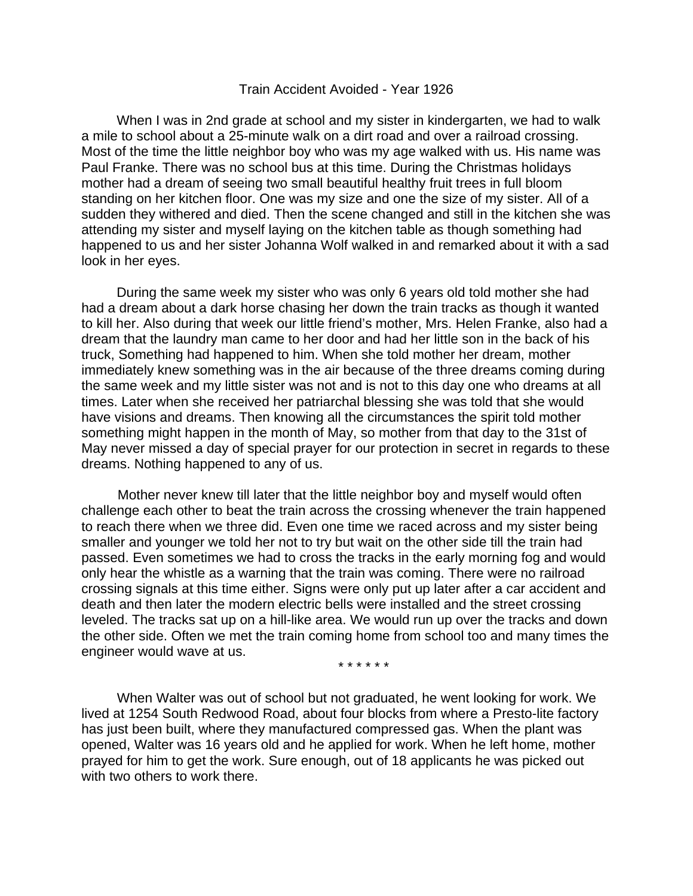## Train Accident Avoided - Year 1926

When I was in 2nd grade at school and my sister in kindergarten, we had to walk a mile to school about a 25-minute walk on a dirt road and over a railroad crossing. Most of the time the little neighbor boy who was my age walked with us. His name was Paul Franke. There was no school bus at this time. During the Christmas holidays mother had a dream of seeing two small beautiful healthy fruit trees in full bloom standing on her kitchen floor. One was my size and one the size of my sister. All of a sudden they withered and died. Then the scene changed and still in the kitchen she was attending my sister and myself laying on the kitchen table as though something had happened to us and her sister Johanna Wolf walked in and remarked about it with a sad look in her eyes.

During the same week my sister who was only 6 years old told mother she had had a dream about a dark horse chasing her down the train tracks as though it wanted to kill her. Also during that week our little friend's mother, Mrs. Helen Franke, also had a dream that the laundry man came to her door and had her little son in the back of his truck, Something had happened to him. When she told mother her dream, mother immediately knew something was in the air because of the three dreams coming during the same week and my little sister was not and is not to this day one who dreams at all times. Later when she received her patriarchal blessing she was told that she would have visions and dreams. Then knowing all the circumstances the spirit told mother something might happen in the month of May, so mother from that day to the 31st of May never missed a day of special prayer for our protection in secret in regards to these dreams. Nothing happened to any of us.

Mother never knew till later that the little neighbor boy and myself would often challenge each other to beat the train across the crossing whenever the train happened to reach there when we three did. Even one time we raced across and my sister being smaller and younger we told her not to try but wait on the other side till the train had passed. Even sometimes we had to cross the tracks in the early morning fog and would only hear the whistle as a warning that the train was coming. There were no railroad crossing signals at this time either. Signs were only put up later after a car accident and death and then later the modern electric bells were installed and the street crossing leveled. The tracks sat up on a hill-like area. We would run up over the tracks and down the other side. Often we met the train coming home from school too and many times the engineer would wave at us.

\* \* \* \* \* \*

When Walter was out of school but not graduated, he went looking for work. We lived at 1254 South Redwood Road, about four blocks from where a Presto-lite factory has just been built, where they manufactured compressed gas. When the plant was opened, Walter was 16 years old and he applied for work. When he left home, mother prayed for him to get the work. Sure enough, out of 18 applicants he was picked out with two others to work there.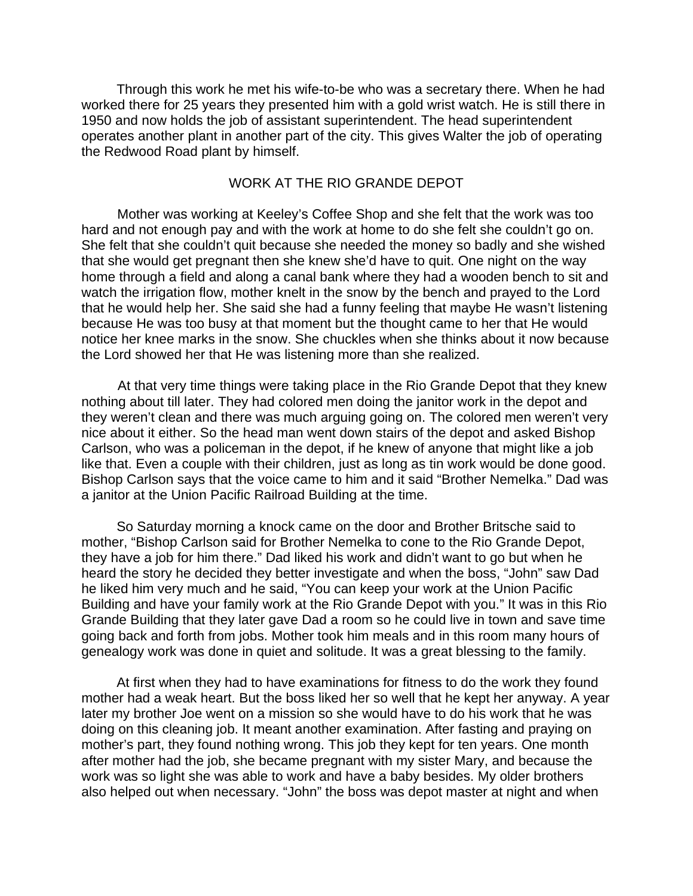Through this work he met his wife-to-be who was a secretary there. When he had worked there for 25 years they presented him with a gold wrist watch. He is still there in 1950 and now holds the job of assistant superintendent. The head superintendent operates another plant in another part of the city. This gives Walter the job of operating the Redwood Road plant by himself.

# WORK AT THE RIO GRANDE DEPOT

Mother was working at Keeley's Coffee Shop and she felt that the work was too hard and not enough pay and with the work at home to do she felt she couldn't go on. She felt that she couldn't quit because she needed the money so badly and she wished that she would get pregnant then she knew she'd have to quit. One night on the way home through a field and along a canal bank where they had a wooden bench to sit and watch the irrigation flow, mother knelt in the snow by the bench and prayed to the Lord that he would help her. She said she had a funny feeling that maybe He wasn't listening because He was too busy at that moment but the thought came to her that He would notice her knee marks in the snow. She chuckles when she thinks about it now because the Lord showed her that He was listening more than she realized.

At that very time things were taking place in the Rio Grande Depot that they knew nothing about till later. They had colored men doing the janitor work in the depot and they weren't clean and there was much arguing going on. The colored men weren't very nice about it either. So the head man went down stairs of the depot and asked Bishop Carlson, who was a policeman in the depot, if he knew of anyone that might like a job like that. Even a couple with their children, just as long as tin work would be done good. Bishop Carlson says that the voice came to him and it said "Brother Nemelka." Dad was a janitor at the Union Pacific Railroad Building at the time.

So Saturday morning a knock came on the door and Brother Britsche said to mother, "Bishop Carlson said for Brother Nemelka to cone to the Rio Grande Depot, they have a job for him there." Dad liked his work and didn't want to go but when he heard the story he decided they better investigate and when the boss, "John" saw Dad he liked him very much and he said, "You can keep your work at the Union Pacific Building and have your family work at the Rio Grande Depot with you." It was in this Rio Grande Building that they later gave Dad a room so he could live in town and save time going back and forth from jobs. Mother took him meals and in this room many hours of genealogy work was done in quiet and solitude. It was a great blessing to the family.

At first when they had to have examinations for fitness to do the work they found mother had a weak heart. But the boss liked her so well that he kept her anyway. A year later my brother Joe went on a mission so she would have to do his work that he was doing on this cleaning job. It meant another examination. After fasting and praying on mother's part, they found nothing wrong. This job they kept for ten years. One month after mother had the job, she became pregnant with my sister Mary, and because the work was so light she was able to work and have a baby besides. My older brothers also helped out when necessary. "John" the boss was depot master at night and when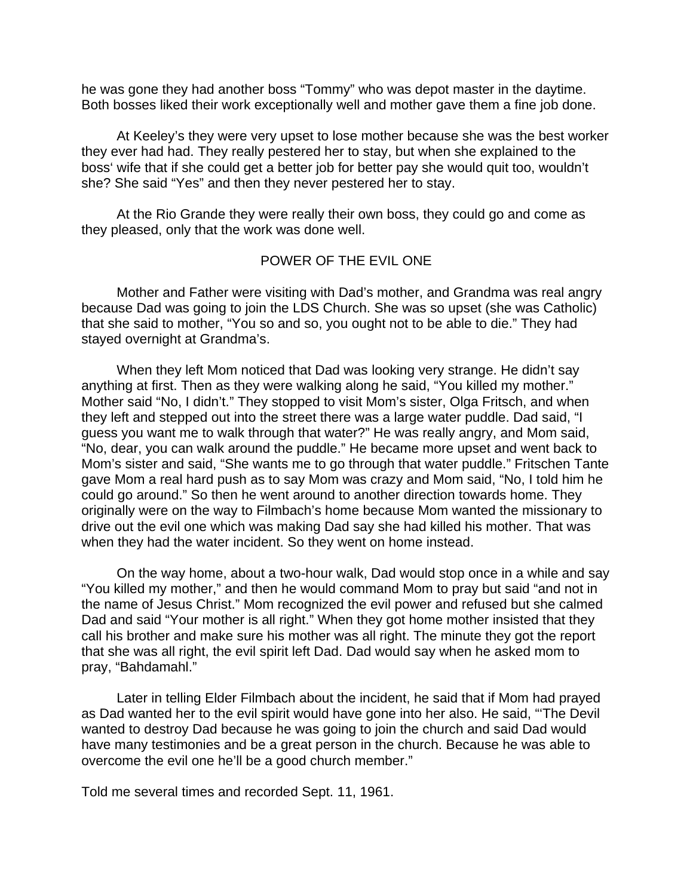he was gone they had another boss "Tommy" who was depot master in the daytime. Both bosses liked their work exceptionally well and mother gave them a fine job done.

At Keeley's they were very upset to lose mother because she was the best worker they ever had had. They really pestered her to stay, but when she explained to the boss' wife that if she could get a better job for better pay she would quit too, wouldn't she? She said "Yes" and then they never pestered her to stay.

At the Rio Grande they were really their own boss, they could go and come as they pleased, only that the work was done well.

## POWER OF THE EVIL ONE

Mother and Father were visiting with Dad's mother, and Grandma was real angry because Dad was going to join the LDS Church. She was so upset (she was Catholic) that she said to mother, "You so and so, you ought not to be able to die." They had stayed overnight at Grandma's.

When they left Mom noticed that Dad was looking very strange. He didn't say anything at first. Then as they were walking along he said, "You killed my mother." Mother said "No, I didn't." They stopped to visit Mom's sister, Olga Fritsch, and when they left and stepped out into the street there was a large water puddle. Dad said, "I guess you want me to walk through that water?" He was really angry, and Mom said, "No, dear, you can walk around the puddle." He became more upset and went back to Mom's sister and said, "She wants me to go through that water puddle." Fritschen Tante gave Mom a real hard push as to say Mom was crazy and Mom said, "No, I told him he could go around." So then he went around to another direction towards home. They originally were on the way to Filmbach's home because Mom wanted the missionary to drive out the evil one which was making Dad say she had killed his mother. That was when they had the water incident. So they went on home instead.

On the way home, about a two-hour walk, Dad would stop once in a while and say "You killed my mother," and then he would command Mom to pray but said "and not in the name of Jesus Christ." Mom recognized the evil power and refused but she calmed Dad and said "Your mother is all right." When they got home mother insisted that they call his brother and make sure his mother was all right. The minute they got the report that she was all right, the evil spirit left Dad. Dad would say when he asked mom to pray, "Bahdamahl."

Later in telling Elder Filmbach about the incident, he said that if Mom had prayed as Dad wanted her to the evil spirit would have gone into her also. He said, "'The Devil wanted to destroy Dad because he was going to join the church and said Dad would have many testimonies and be a great person in the church. Because he was able to overcome the evil one he'll be a good church member."

Told me several times and recorded Sept. 11, 1961.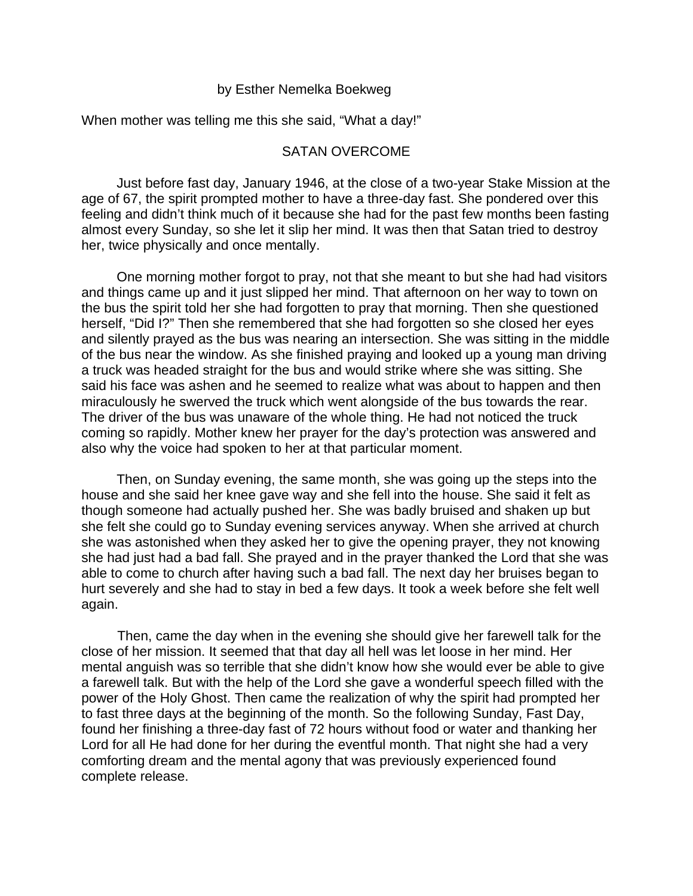#### by Esther Nemelka Boekweg

When mother was telling me this she said, "What a day!"

## SATAN OVERCOME

Just before fast day, January 1946, at the close of a two-year Stake Mission at the age of 67, the spirit prompted mother to have a three-day fast. She pondered over this feeling and didn't think much of it because she had for the past few months been fasting almost every Sunday, so she let it slip her mind. It was then that Satan tried to destroy her, twice physically and once mentally.

One morning mother forgot to pray, not that she meant to but she had had visitors and things came up and it just slipped her mind. That afternoon on her way to town on the bus the spirit told her she had forgotten to pray that morning. Then she questioned herself, "Did I?" Then she remembered that she had forgotten so she closed her eyes and silently prayed as the bus was nearing an intersection. She was sitting in the middle of the bus near the window. As she finished praying and looked up a young man driving a truck was headed straight for the bus and would strike where she was sitting. She said his face was ashen and he seemed to realize what was about to happen and then miraculously he swerved the truck which went alongside of the bus towards the rear. The driver of the bus was unaware of the whole thing. He had not noticed the truck coming so rapidly. Mother knew her prayer for the day's protection was answered and also why the voice had spoken to her at that particular moment.

Then, on Sunday evening, the same month, she was going up the steps into the house and she said her knee gave way and she fell into the house. She said it felt as though someone had actually pushed her. She was badly bruised and shaken up but she felt she could go to Sunday evening services anyway. When she arrived at church she was astonished when they asked her to give the opening prayer, they not knowing she had just had a bad fall. She prayed and in the prayer thanked the Lord that she was able to come to church after having such a bad fall. The next day her bruises began to hurt severely and she had to stay in bed a few days. It took a week before she felt well again.

Then, came the day when in the evening she should give her farewell talk for the close of her mission. It seemed that that day all hell was let loose in her mind. Her mental anguish was so terrible that she didn't know how she would ever be able to give a farewell talk. But with the help of the Lord she gave a wonderful speech filled with the power of the Holy Ghost. Then came the realization of why the spirit had prompted her to fast three days at the beginning of the month. So the following Sunday, Fast Day, found her finishing a three-day fast of 72 hours without food or water and thanking her Lord for all He had done for her during the eventful month. That night she had a very comforting dream and the mental agony that was previously experienced found complete release.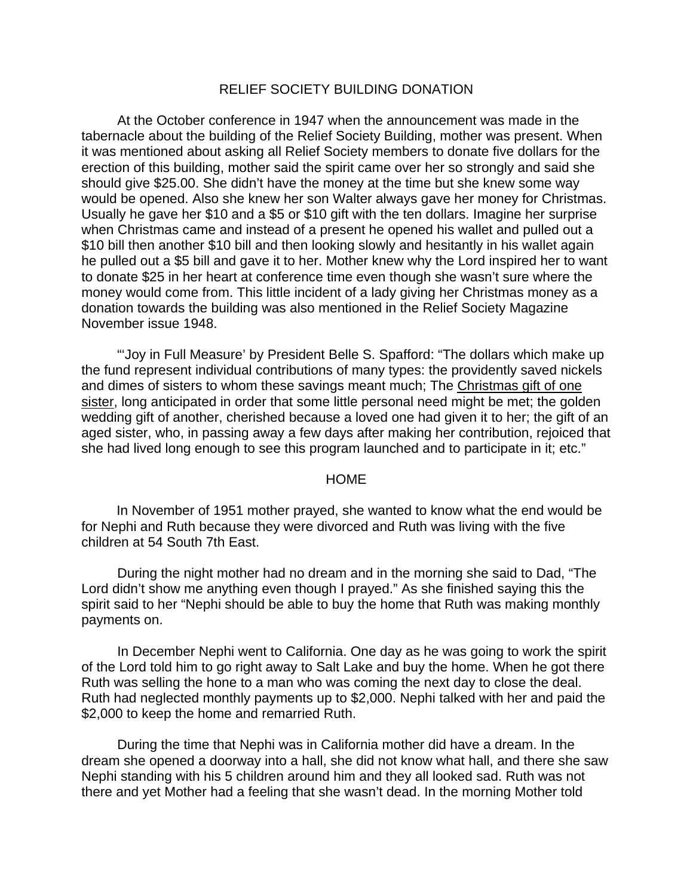#### RELIEF SOCIETY BUILDING DONATION

At the October conference in 1947 when the announcement was made in the tabernacle about the building of the Relief Society Building, mother was present. When it was mentioned about asking all Relief Society members to donate five dollars for the erection of this building, mother said the spirit came over her so strongly and said she should give \$25.00. She didn't have the money at the time but she knew some way would be opened. Also she knew her son Walter always gave her money for Christmas. Usually he gave her \$10 and a \$5 or \$10 gift with the ten dollars. Imagine her surprise when Christmas came and instead of a present he opened his wallet and pulled out a \$10 bill then another \$10 bill and then looking slowly and hesitantly in his wallet again he pulled out a \$5 bill and gave it to her. Mother knew why the Lord inspired her to want to donate \$25 in her heart at conference time even though she wasn't sure where the money would come from. This little incident of a lady giving her Christmas money as a donation towards the building was also mentioned in the Relief Society Magazine November issue 1948.

"'Joy in Full Measure' by President Belle S. Spafford: "The dollars which make up the fund represent individual contributions of many types: the providently saved nickels and dimes of sisters to whom these savings meant much; The Christmas gift of one sister, long anticipated in order that some little personal need might be met; the golden wedding gift of another, cherished because a loved one had given it to her; the gift of an aged sister, who, in passing away a few days after making her contribution, rejoiced that she had lived long enough to see this program launched and to participate in it; etc."

#### **HOME**

In November of 1951 mother prayed, she wanted to know what the end would be for Nephi and Ruth because they were divorced and Ruth was living with the five children at 54 South 7th East.

During the night mother had no dream and in the morning she said to Dad, "The Lord didn't show me anything even though I prayed." As she finished saying this the spirit said to her "Nephi should be able to buy the home that Ruth was making monthly payments on.

In December Nephi went to California. One day as he was going to work the spirit of the Lord told him to go right away to Salt Lake and buy the home. When he got there Ruth was selling the hone to a man who was coming the next day to close the deal. Ruth had neglected monthly payments up to \$2,000. Nephi talked with her and paid the \$2,000 to keep the home and remarried Ruth.

During the time that Nephi was in California mother did have a dream. In the dream she opened a doorway into a hall, she did not know what hall, and there she saw Nephi standing with his 5 children around him and they all looked sad. Ruth was not there and yet Mother had a feeling that she wasn't dead. In the morning Mother told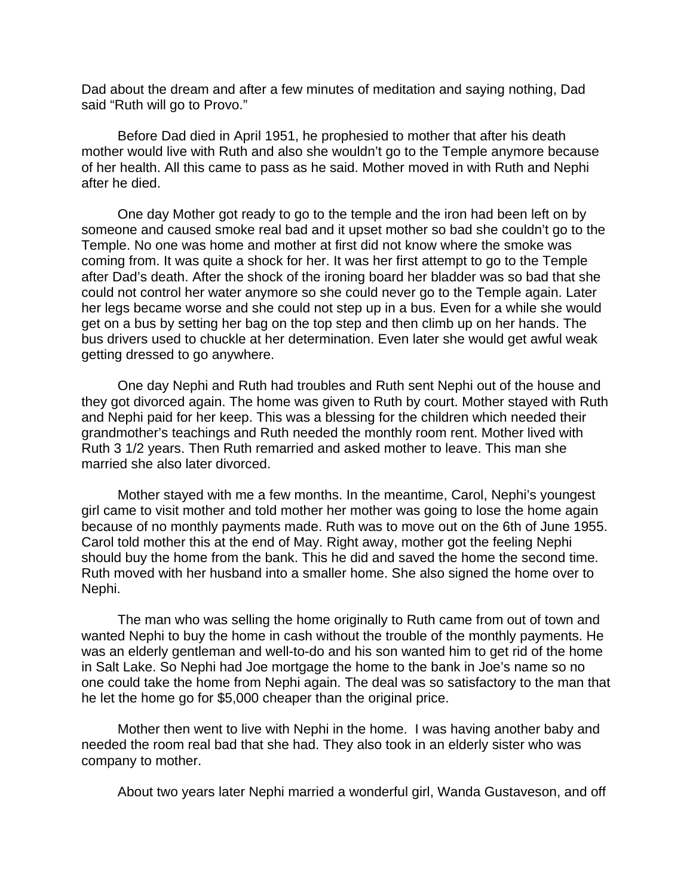Dad about the dream and after a few minutes of meditation and saying nothing, Dad said "Ruth will go to Provo."

Before Dad died in April 1951, he prophesied to mother that after his death mother would live with Ruth and also she wouldn't go to the Temple anymore because of her health. All this came to pass as he said. Mother moved in with Ruth and Nephi after he died.

One day Mother got ready to go to the temple and the iron had been left on by someone and caused smoke real bad and it upset mother so bad she couldn't go to the Temple. No one was home and mother at first did not know where the smoke was coming from. It was quite a shock for her. It was her first attempt to go to the Temple after Dad's death. After the shock of the ironing board her bladder was so bad that she could not control her water anymore so she could never go to the Temple again. Later her legs became worse and she could not step up in a bus. Even for a while she would get on a bus by setting her bag on the top step and then climb up on her hands. The bus drivers used to chuckle at her determination. Even later she would get awful weak getting dressed to go anywhere.

One day Nephi and Ruth had troubles and Ruth sent Nephi out of the house and they got divorced again. The home was given to Ruth by court. Mother stayed with Ruth and Nephi paid for her keep. This was a blessing for the children which needed their grandmother's teachings and Ruth needed the monthly room rent. Mother lived with Ruth 3 1/2 years. Then Ruth remarried and asked mother to leave. This man she married she also later divorced.

Mother stayed with me a few months. In the meantime, Carol, Nephi's youngest girl came to visit mother and told mother her mother was going to lose the home again because of no monthly payments made. Ruth was to move out on the 6th of June 1955. Carol told mother this at the end of May. Right away, mother got the feeling Nephi should buy the home from the bank. This he did and saved the home the second time. Ruth moved with her husband into a smaller home. She also signed the home over to Nephi.

The man who was selling the home originally to Ruth came from out of town and wanted Nephi to buy the home in cash without the trouble of the monthly payments. He was an elderly gentleman and well-to-do and his son wanted him to get rid of the home in Salt Lake. So Nephi had Joe mortgage the home to the bank in Joe's name so no one could take the home from Nephi again. The deal was so satisfactory to the man that he let the home go for \$5,000 cheaper than the original price.

Mother then went to live with Nephi in the home. I was having another baby and needed the room real bad that she had. They also took in an elderly sister who was company to mother.

About two years later Nephi married a wonderful girl, Wanda Gustaveson, and off